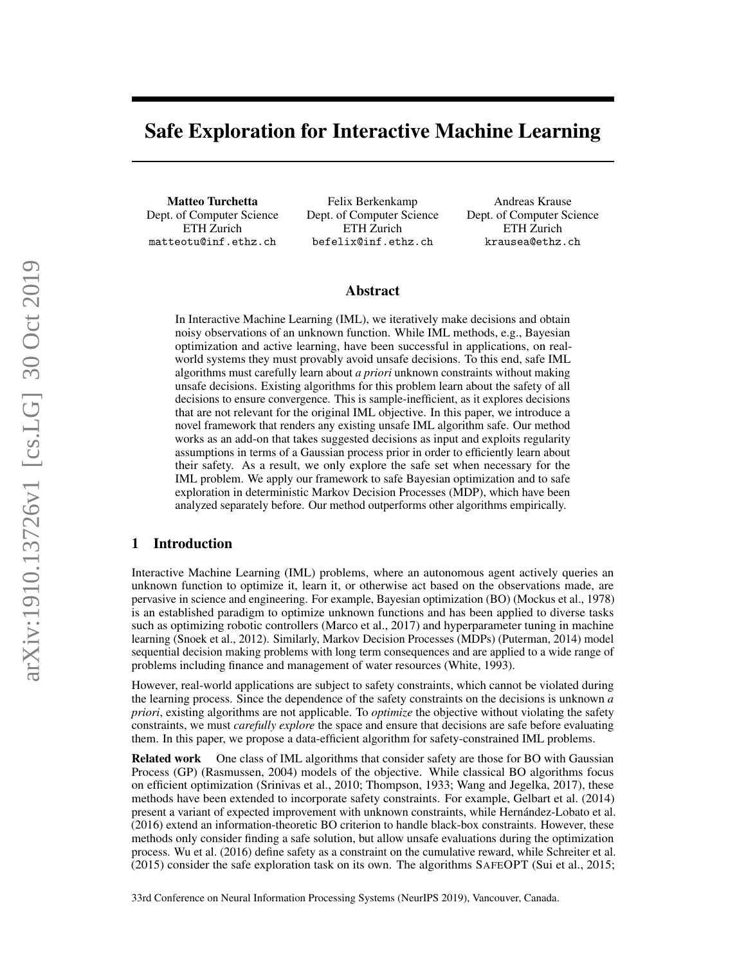# <span id="page-0-0"></span>Safe Exploration for Interactive Machine Learning

Matteo Turchetta Dept. of Computer Science ETH Zurich matteotu@inf.ethz.ch

Felix Berkenkamp Dept. of Computer Science ETH Zurich befelix@inf.ethz.ch

Andreas Krause Dept. of Computer Science ETH Zurich krausea@ethz.ch

## Abstract

In Interactive Machine Learning (IML), we iteratively make decisions and obtain noisy observations of an unknown function. While IML methods, e.g., Bayesian optimization and active learning, have been successful in applications, on realworld systems they must provably avoid unsafe decisions. To this end, safe IML algorithms must carefully learn about *a priori* unknown constraints without making unsafe decisions. Existing algorithms for this problem learn about the safety of all decisions to ensure convergence. This is sample-inefficient, as it explores decisions that are not relevant for the original IML objective. In this paper, we introduce a novel framework that renders any existing unsafe IML algorithm safe. Our method works as an add-on that takes suggested decisions as input and exploits regularity assumptions in terms of a Gaussian process prior in order to efficiently learn about their safety. As a result, we only explore the safe set when necessary for the IML problem. We apply our framework to safe Bayesian optimization and to safe exploration in deterministic Markov Decision Processes (MDP), which have been analyzed separately before. Our method outperforms other algorithms empirically.

# 1 Introduction

Interactive Machine Learning (IML) problems, where an autonomous agent actively queries an unknown function to optimize it, learn it, or otherwise act based on the observations made, are pervasive in science and engineering. For example, Bayesian optimization (BO) [\(Mockus et al., 1978\)](#page-9-0) is an established paradigm to optimize unknown functions and has been applied to diverse tasks such as optimizing robotic controllers [\(Marco et al., 2017\)](#page-9-1) and hyperparameter tuning in machine learning [\(Snoek et al., 2012\)](#page-10-0). Similarly, Markov Decision Processes (MDPs) [\(Puterman, 2014\)](#page-9-2) model sequential decision making problems with long term consequences and are applied to a wide range of problems including finance and management of water resources [\(White, 1993\)](#page-10-1).

However, real-world applications are subject to safety constraints, which cannot be violated during the learning process. Since the dependence of the safety constraints on the decisions is unknown *a priori*, existing algorithms are not applicable. To *optimize* the objective without violating the safety constraints, we must *carefully explore* the space and ensure that decisions are safe before evaluating them. In this paper, we propose a data-efficient algorithm for safety-constrained IML problems.

Related work One class of IML algorithms that consider safety are those for BO with Gaussian Process (GP) [\(Rasmussen, 2004\)](#page-9-3) models of the objective. While classical BO algorithms focus on efficient optimization [\(Srinivas et al., 2010;](#page-10-2) [Thompson, 1933;](#page-10-3) [Wang and Jegelka, 2017\)](#page-10-4), these methods have been extended to incorporate safety constraints. For example, [Gelbart et al.](#page-9-4) [\(2014\)](#page-9-4) present a variant of expected improvement with unknown constraints, while [Hernández-Lobato et al.](#page-9-5) [\(2016\)](#page-9-5) extend an information-theoretic BO criterion to handle black-box constraints. However, these methods only consider finding a safe solution, but allow unsafe evaluations during the optimization process. [Wu et al.](#page-10-5) [\(2016\)](#page-10-5) define safety as a constraint on the cumulative reward, while [Schreiter et al.](#page-10-6) [\(2015\)](#page-10-6) consider the safe exploration task on its own. The algorithms SAFEOPT [\(Sui et al., 2015;](#page-10-7)

arXiv:1910.13726v1 [cs.LG] 30 Oct 2019 arXiv:1910.13726v1 [cs.LG] 30 Oct 2019

33rd Conference on Neural Information Processing Systems (NeurIPS 2019), Vancouver, Canada.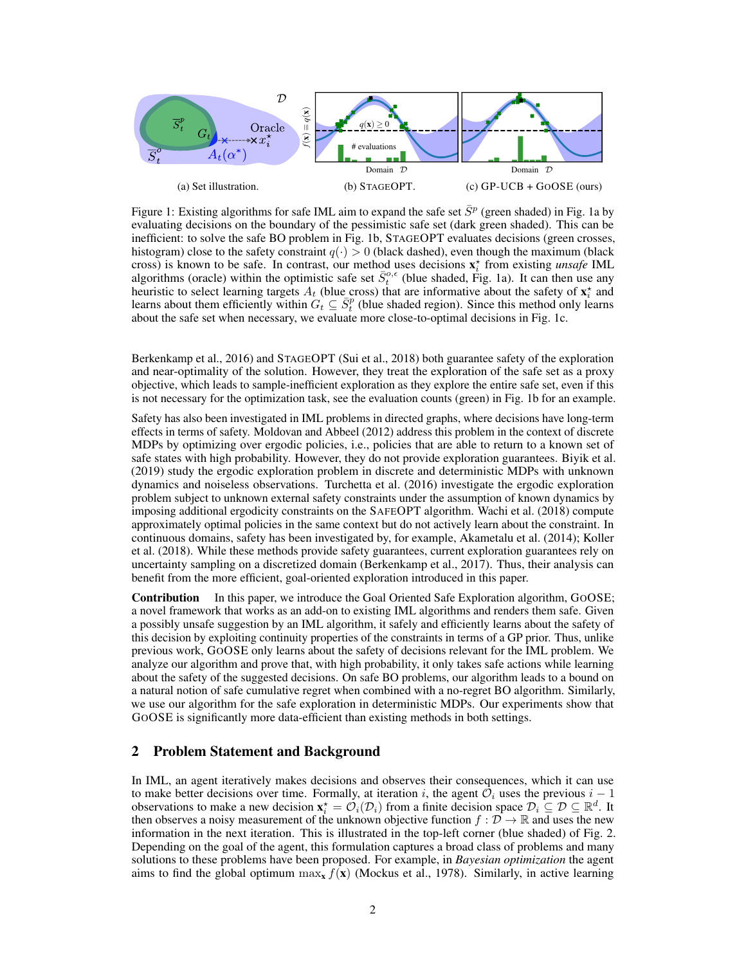<span id="page-1-0"></span>

Figure 1: Existing algorithms for safe [IML](#page-0-0) aim to expand the safe set  $\bar{S}^p$  (green shaded) in Fig. [1a](#page-1-0) by evaluating decisions on the boundary of the pessimistic safe set (dark green shaded). This can be inefficient: to solve the safe BO problem in Fig. [1b,](#page-1-0) STAGEOPT evaluates decisions (green crosses, histogram) close to the safety constraint  $q(\cdot) > 0$  (black dashed), even though the maximum (black cross) is known to be safe. In contrast, our method uses decisions  $\mathbf{x}_i^*$  from existing *unsafe* [IML](#page-0-0) algorithms (oracle) within the optimistic safe set  $\bar{S}^{o,\epsilon}_t$  (blue shaded, Fig. [1a\)](#page-1-0). It can then use any heuristic to select learning targets  $A_t$  (blue cross) that are informative about the safety of  $\mathbf{x}_i^*$  and learns about them efficiently within  $G_t \subseteq \bar{S}_t^p$  (blue shaded region). Since this method only learns about the safe set when necessary, we evaluate more close-to-optimal decisions in Fig. [1c.](#page-1-0)

[Berkenkamp et al., 2016\)](#page-9-6) and STAGEOPT [\(Sui et al., 2018\)](#page-10-8) both guarantee safety of the exploration and near-optimality of the solution. However, they treat the exploration of the safe set as a proxy objective, which leads to sample-inefficient exploration as they explore the entire safe set, even if this is not necessary for the optimization task, see the evaluation counts (green) in Fig. [1b](#page-1-0) for an example.

Safety has also been investigated in [IML](#page-0-0) problems in directed graphs, where decisions have long-term effects in terms of safety. [Moldovan and Abbeel](#page-9-7) [\(2012\)](#page-9-7) address this problem in the context of discrete MDPs by optimizing over ergodic policies, i.e., policies that are able to return to a known set of safe states with high probability. However, they do not provide exploration guarantees. [Biyik et al.](#page-9-8) [\(2019\)](#page-9-8) study the ergodic exploration problem in discrete and deterministic MDPs with unknown dynamics and noiseless observations. [Turchetta et al.](#page-10-9) [\(2016\)](#page-10-9) investigate the ergodic exploration problem subject to unknown external safety constraints under the assumption of known dynamics by imposing additional ergodicity constraints on the SAFEOPT algorithm. [Wachi et al.](#page-10-10) [\(2018\)](#page-10-10) compute approximately optimal policies in the same context but do not actively learn about the constraint. In continuous domains, safety has been investigated by, for example, [Akametalu et al.](#page-9-9) [\(2014\)](#page-9-9); [Koller](#page-9-10) [et al.](#page-9-10) [\(2018\)](#page-9-10). While these methods provide safety guarantees, current exploration guarantees rely on uncertainty sampling on a discretized domain [\(Berkenkamp et al., 2017\)](#page-9-11). Thus, their analysis can benefit from the more efficient, goal-oriented exploration introduced in this paper.

Contribution In this paper, we introduce the Goal Oriented Safe Exploration algorithm, GOOSE; a novel framework that works as an add-on to existing [IML](#page-0-0) algorithms and renders them safe. Given a possibly unsafe suggestion by an [IML](#page-0-0) algorithm, it safely and efficiently learns about the safety of this decision by exploiting continuity properties of the constraints in terms of a GP prior. Thus, unlike previous work, GOOSE only learns about the safety of decisions relevant for the [IML](#page-0-0) problem. We analyze our algorithm and prove that, with high probability, it only takes safe actions while learning about the safety of the suggested decisions. On safe BO problems, our algorithm leads to a bound on a natural notion of safe cumulative regret when combined with a no-regret BO algorithm. Similarly, we use our algorithm for the safe exploration in deterministic MDPs. Our experiments show that GOOSE is significantly more data-efficient than existing methods in both settings.

### <span id="page-1-1"></span>2 Problem Statement and Background

In [IML,](#page-0-0) an agent iteratively makes decisions and observes their consequences, which it can use to make better decisions over time. Formally, at iteration i, the agent  $\mathcal{O}_i$  uses the previous  $i - 1$ observations to make a new decision  $\mathbf{x}_i^* = \mathcal{O}_i(\mathcal{D}_i)$  from a finite decision space  $\mathcal{D}_i \subseteq \mathcal{D} \subseteq \mathbb{R}^d$ . It then observes a noisy measurement of the unknown objective function  $f : \mathcal{D} \to \mathbb{R}$  and uses the new information in the next iteration. This is illustrated in the top-left corner (blue shaded) of Fig. [2.](#page-2-0) Depending on the goal of the agent, this formulation captures a broad class of problems and many solutions to these problems have been proposed. For example, in *Bayesian optimization* the agent aims to find the global optimum  $\max_{x} f(x)$  [\(Mockus et al., 1978\)](#page-9-0). Similarly, in active learning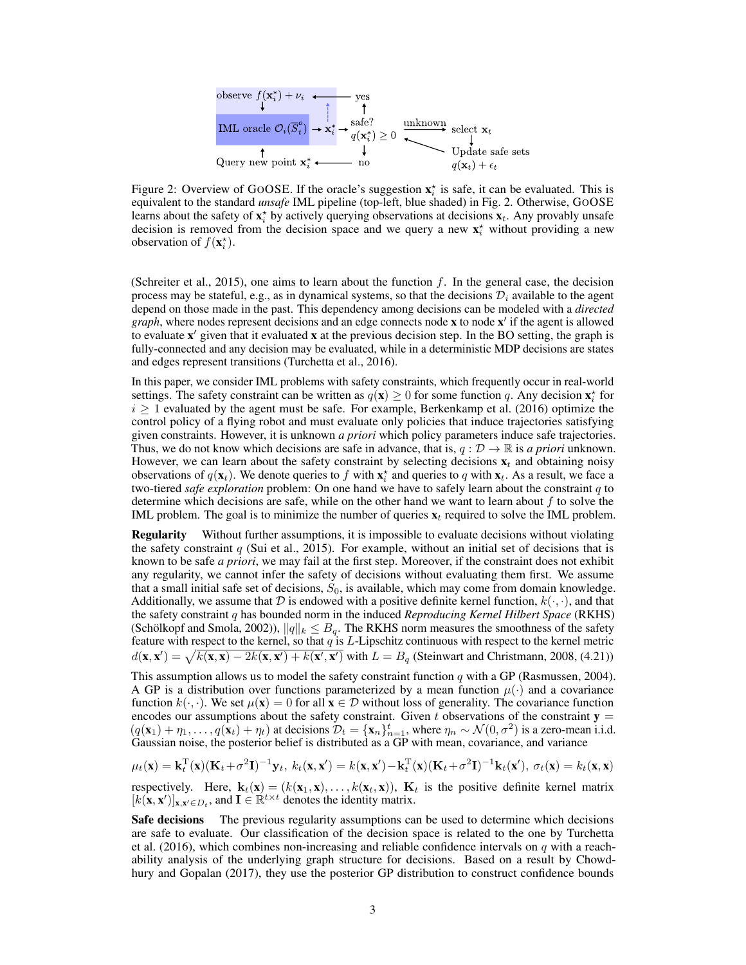<span id="page-2-0"></span>

Figure 2: Overview of GOOSE. If the oracle's suggestion  $\mathbf{x}_i^*$  is safe, it can be evaluated. This is equivalent to the standard *unsafe* [IML](#page-0-0) pipeline (top-left, blue shaded) in Fig. [2.](#page-2-0) Otherwise, GOOSE learns about the safety of  $\mathbf{x}_i^*$  by actively querying observations at decisions  $\mathbf{x}_t$ . Any provably unsafe decision is removed from the decision space and we query a new  $\mathbf{x}_i^*$  without providing a new observation of  $f(\mathbf{x}_i^*)$ .

[\(Schreiter et al., 2015\)](#page-10-6), one aims to learn about the function f. In the general case, the decision process may be stateful, e.g., as in dynamical systems, so that the decisions  $\mathcal{D}_i$  available to the agent depend on those made in the past. This dependency among decisions can be modeled with a *directed graph*, where nodes represent decisions and an edge connects node  $x$  to node  $x'$  if the agent is allowed to evaluate  $x'$  given that it evaluated  $x$  at the previous decision step. In the BO setting, the graph is fully-connected and any decision may be evaluated, while in a deterministic MDP decisions are states and edges represent transitions [\(Turchetta et al., 2016\)](#page-10-9).

In this paper, we consider [IML](#page-0-0) problems with safety constraints, which frequently occur in real-world settings. The safety constraint can be written as  $q(\mathbf{x}) \ge 0$  for some function q. Any decision  $\mathbf{x}_i^*$  for  $i \geq 1$  evaluated by the agent must be safe. For example, [Berkenkamp et al.](#page-9-6) [\(2016\)](#page-9-6) optimize the control policy of a flying robot and must evaluate only policies that induce trajectories satisfying given constraints. However, it is unknown *a priori* which policy parameters induce safe trajectories. Thus, we do not know which decisions are safe in advance, that is,  $q : \mathcal{D} \to \mathbb{R}$  is *a priori* unknown. However, we can learn about the safety constraint by selecting decisions  $x_t$  and obtaining noisy observations of  $q(\mathbf{x}_t)$ . We denote queries to f with  $\mathbf{x}_t^*$  and queries to q with  $\mathbf{x}_t$ . As a result, we face a two-tiered *safe exploration* problem: On one hand we have to safely learn about the constraint q to determine which decisions are safe, while on the other hand we want to learn about  $f$  to solve the [IML](#page-0-0) problem. The goal is to minimize the number of queries  $x_t$  required to solve the [IML](#page-0-0) problem.

**Regularity** Without further assumptions, it is impossible to evaluate decisions without violating the safety constraint  $q$  [\(Sui et al., 2015\)](#page-10-7). For example, without an initial set of decisions that is known to be safe *a priori*, we may fail at the first step. Moreover, if the constraint does not exhibit any regularity, we cannot infer the safety of decisions without evaluating them first. We assume that a small initial safe set of decisions,  $S_0$ , is available, which may come from domain knowledge. Additionally, we assume that D is endowed with a positive definite kernel function,  $k(\cdot, \cdot)$ , and that the safety constraint q has bounded norm in the induced *Reproducing Kernel Hilbert Space* (RKHS) [\(Schölkopf and Smola, 2002\)](#page-9-12)),  $||q||_k \leq B_q$ . The RKHS norm measures the smoothness of the safety feature with respect to the kernel, so that  $q$  is  $L$ -Lipschitz continuous with respect to the kernel metric  $d(\mathbf{x}, \mathbf{x}') = \sqrt{k(\mathbf{x}, \mathbf{x}) - 2k(\mathbf{x}, \mathbf{x}') + k(\mathbf{x}', \mathbf{x}')}$  with  $L = B_q$  [\(Steinwart and Christmann, 2008,](#page-10-11) (4.21))

This assumption allows us to model the safety constraint function  $q$  with a GP [\(Rasmussen, 2004\)](#page-9-3). A GP is a distribution over functions parameterized by a mean function  $\mu(\cdot)$  and a covariance function  $k(\cdot, \cdot)$ . We set  $\mu(\mathbf{x}) = 0$  for all  $\mathbf{x} \in \mathcal{D}$  without loss of generality. The covariance function encodes our assumptions about the safety constraint. Given t observations of the constraint  $y =$  $(q(\mathbf{x}_1) + \eta_1, \dots, q(\mathbf{x}_t) + \eta_t)$  at decisions  $\mathcal{D}_t = {\mathbf{x}_n}_{n=1}^t$ , where  $\eta_n \sim \mathcal{N}(0, \sigma^2)$  is a zero-mean i.i.d. Gaussian noise, the posterior belief is distributed as a GP with mean, covariance, and variance

$$
\mu_t(\mathbf{x}) = \mathbf{k}_t^{\mathrm{T}}(\mathbf{x})(\mathbf{K}_t + \sigma^2 \mathbf{I})^{-1} \mathbf{y}_t, \ k_t(\mathbf{x}, \mathbf{x}') = k(\mathbf{x}, \mathbf{x}') - \mathbf{k}_t^{\mathrm{T}}(\mathbf{x})(\mathbf{K}_t + \sigma^2 \mathbf{I})^{-1} \mathbf{k}_t(\mathbf{x}'), \ \sigma_t(\mathbf{x}) = k_t(\mathbf{x}, \mathbf{x})
$$

respectively. Here,  $\mathbf{k}_t(\mathbf{x}) = (k(\mathbf{x}_1, \mathbf{x}), \dots, k(\mathbf{x}_t, \mathbf{x}))$ ,  $\mathbf{K}_t$  is the positive definite kernel matrix  $[k(\mathbf{x}, \mathbf{x}')]_{\mathbf{x}, \mathbf{x}' \in D_t}$ , and  $\mathbf{I} \in \mathbb{R}^{t \times t}$  denotes the identity matrix.

Safe decisions The previous regularity assumptions can be used to determine which decisions are safe to evaluate. Our classification of the decision space is related to the one by [Turchetta](#page-10-9) [et al.](#page-10-9) [\(2016\)](#page-10-9), which combines non-increasing and reliable confidence intervals on  $q$  with a reachability analysis of the underlying graph structure for decisions. Based on a result by [Chowd](#page-9-13)[hury and Gopalan](#page-9-13) [\(2017\)](#page-9-13), they use the posterior GP distribution to construct confidence bounds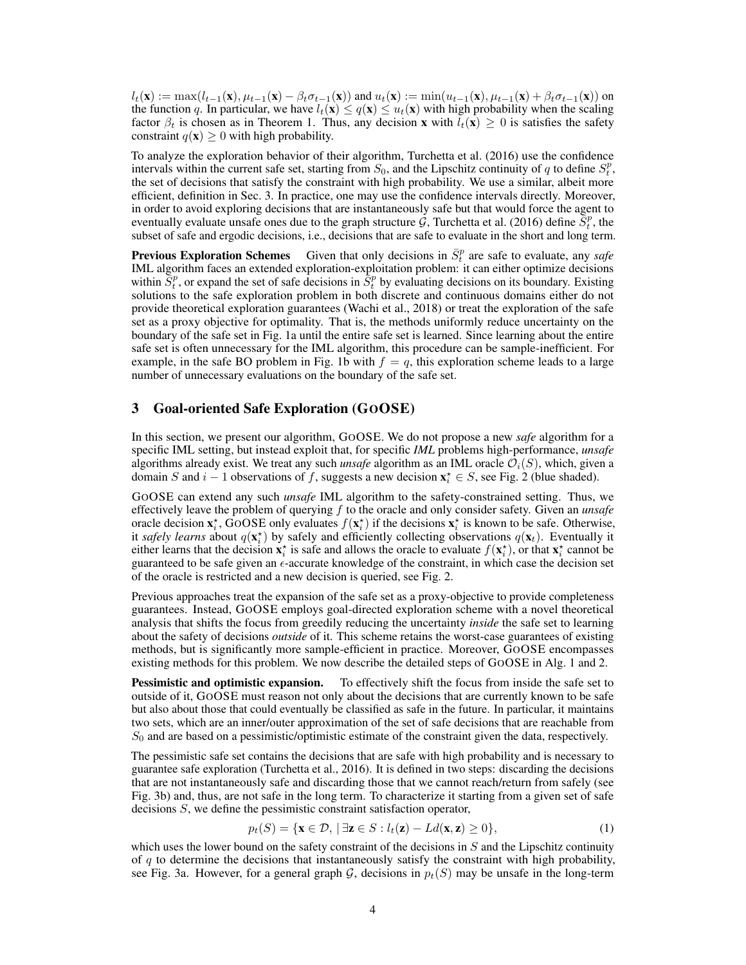$l_t(\mathbf{x}) := \max(l_{t-1}(\mathbf{x}), \mu_{t-1}(\mathbf{x}) - \beta_t \sigma_{t-1}(\mathbf{x}))$  and  $u_t(\mathbf{x}) := \min(u_{t-1}(\mathbf{x}), \mu_{t-1}(\mathbf{x}) + \beta_t \sigma_{t-1}(\mathbf{x}))$  on the function q. In particular, we have  $l_t(\mathbf{x}) \leq q(\mathbf{x}) \leq u_t(\mathbf{x})$  with high probability when the scaling factor  $\beta_t$  is chosen as in Theorem [1.](#page-5-0) Thus, any decision x with  $l_t(\mathbf{x}) \geq 0$  is satisfies the safety constraint  $q(\mathbf{x}) > 0$  with high probability.

To analyze the exploration behavior of their algorithm, [Turchetta et al.](#page-10-9) [\(2016\)](#page-10-9) use the confidence intervals within the current safe set, starting from  $S_0$ , and the Lipschitz continuity of q to define  $S_t^p$ , the set of decisions that satisfy the constraint with high probability. We use a similar, albeit more efficient, definition in Sec. [3.](#page-3-0) In practice, one may use the confidence intervals directly. Moreover, in order to avoid exploring decisions that are instantaneously safe but that would force the agent to eventually evaluate unsafe ones due to the graph structure  $\mathcal{G}$ , [Turchetta et al.](#page-10-9) [\(2016\)](#page-10-9) define  $\bar{S}_t^p$ , the subset of safe and ergodic decisions, i.e., decisions that are safe to evaluate in the short and long term.

**Previous Exploration Schemes** Given that only decisions in  $\bar{S}_t^p$  are safe to evaluate, any *safe* [IML](#page-0-0) algorithm faces an extended exploration-exploitation problem: it can either optimize decisions within  $\overline{S_t^p}$ , or expand the set of safe decisions in  $\overline{S_t^p}$  by evaluating decisions on its boundary. Existing solutions to the safe exploration problem in both discrete and continuous domains either do not provide theoretical exploration guarantees [\(Wachi et al., 2018\)](#page-10-10) or treat the exploration of the safe set as a proxy objective for optimality. That is, the methods uniformly reduce uncertainty on the boundary of the safe set in Fig. [1a](#page-1-0) until the entire safe set is learned. Since learning about the entire safe set is often unnecessary for the [IML](#page-0-0) algorithm, this procedure can be sample-inefficient. For example, in the safe BO problem in Fig. [1b](#page-1-0) with  $f = q$ , this exploration scheme leads to a large number of unnecessary evaluations on the boundary of the safe set.

# <span id="page-3-0"></span>3 Goal-oriented Safe Exploration (GOOSE)

In this section, we present our algorithm, GOOSE. We do not propose a new *safe* algorithm for a specific [IML](#page-0-0) setting, but instead exploit that, for specific *IML* problems high-performance, *unsafe* algorithms already exist. We treat any such *unsafe* algorithm as an [IML](#page-0-0) oracle  $\mathcal{O}_i(S)$ , which, given a domain S and  $i - 1$  observations of f, suggests a new decision  $\mathbf{x}_i^* \in S$ , see Fig. [2](#page-2-0) (blue shaded).

GOOSE can extend any such *unsafe* [IML](#page-0-0) algorithm to the safety-constrained setting. Thus, we effectively leave the problem of querying f to the oracle and only consider safety. Given an *unsafe* oracle decision  $\mathbf{x}_i^*$ , GOOSE only evaluates  $f(\mathbf{x}_i^*)$  if the decisions  $\mathbf{x}_i^*$  is known to be safe. Otherwise, it *safely learns* about  $q(\mathbf{x}_i^{\star})$  by safely and efficiently collecting observations  $q(\mathbf{x}_t)$ . Eventually it either learns that the decision  $x_i^*$  is safe and allows the oracle to evaluate  $f(x_i^*)$ , or that  $x_i^*$  cannot be guaranteed to be safe given an  $\epsilon$ -accurate knowledge of the constraint, in which case the decision set of the oracle is restricted and a new decision is queried, see Fig. [2.](#page-2-0)

Previous approaches treat the expansion of the safe set as a proxy-objective to provide completeness guarantees. Instead, GOOSE employs goal-directed exploration scheme with a novel theoretical analysis that shifts the focus from greedily reducing the uncertainty *inside* the safe set to learning about the safety of decisions *outside* of it. This scheme retains the worst-case guarantees of existing methods, but is significantly more sample-efficient in practice. Moreover, GOOSE encompasses existing methods for this problem. We now describe the detailed steps of GOOSE in Alg. [1](#page-5-1) and [2.](#page-5-2)

**Pessimistic and optimistic expansion.** To effectively shift the focus from inside the safe set to outside of it, GOOSE must reason not only about the decisions that are currently known to be safe but also about those that could eventually be classified as safe in the future. In particular, it maintains two sets, which are an inner/outer approximation of the set of safe decisions that are reachable from  $S_0$  and are based on a pessimistic/optimistic estimate of the constraint given the data, respectively.

The pessimistic safe set contains the decisions that are safe with high probability and is necessary to guarantee safe exploration [\(Turchetta et al., 2016\)](#page-10-9). It is defined in two steps: discarding the decisions that are not instantaneously safe and discarding those that we cannot reach/return from safely (see Fig. [3b\)](#page-4-0) and, thus, are not safe in the long term. To characterize it starting from a given set of safe decisions S, we define the pessimistic constraint satisfaction operator,

$$
p_t(S) = \{ \mathbf{x} \in \mathcal{D}, \, | \, \exists \mathbf{z} \in S : l_t(\mathbf{z}) - Ld(\mathbf{x}, \mathbf{z}) \ge 0 \},\tag{1}
$$

which uses the lower bound on the safety constraint of the decisions in  $S$  and the Lipschitz continuity of  $q$  to determine the decisions that instantaneously satisfy the constraint with high probability, see Fig. [3a.](#page-4-0) However, for a general graph G, decisions in  $p_t(S)$  may be unsafe in the long-term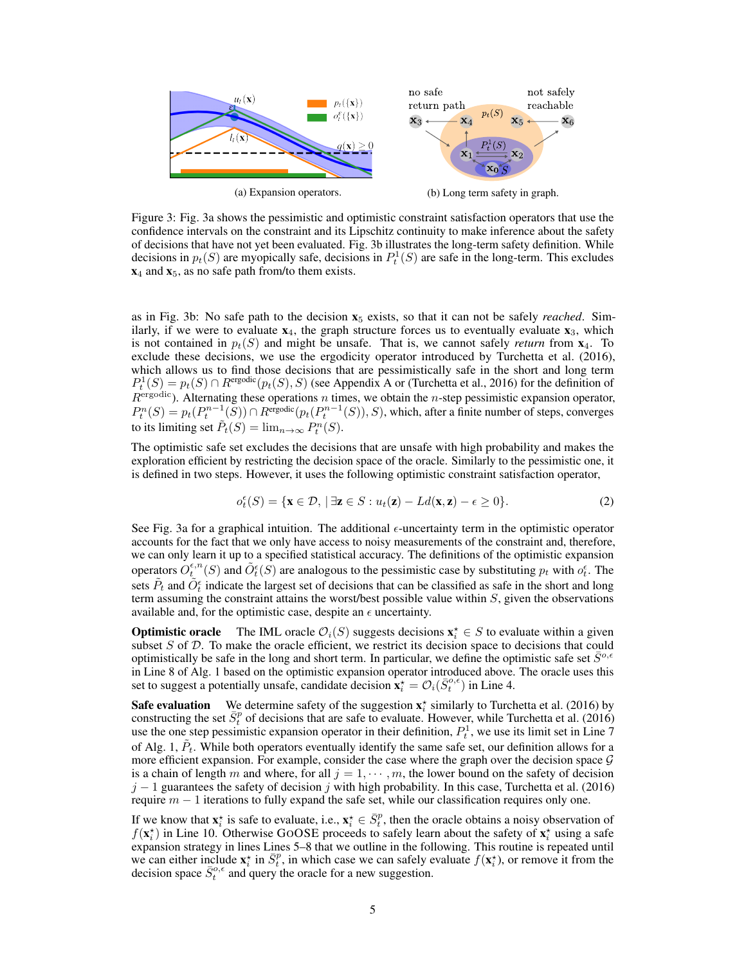<span id="page-4-0"></span>

Figure 3: Fig. [3a](#page-4-0) shows the pessimistic and optimistic constraint satisfaction operators that use the confidence intervals on the constraint and its Lipschitz continuity to make inference about the safety of decisions that have not yet been evaluated. Fig. [3b](#page-4-0) illustrates the long-term safety definition. While decisions in  $p_t(S)$  are myopically safe, decisions in  $P_t^1(S)$  are safe in the long-term. This excludes  $x_4$  and  $x_5$ , as no safe path from/to them exists.

as in Fig. [3b:](#page-4-0) No safe path to the decision  $x<sub>5</sub>$  exists, so that it can not be safely *reached*. Similarly, if we were to evaluate  $x_4$ , the graph structure forces us to eventually evaluate  $x_3$ , which is not contained in  $p_t(S)$  and might be unsafe. That is, we cannot safely *return* from  $\mathbf{x}_4$ . To exclude these decisions, we use the ergodicity operator introduced by [Turchetta et al.](#page-10-9) [\(2016\)](#page-10-9), which allows us to find those decisions that are pessimistically safe in the short and long term  $P_t^1(S) = p_t(S) \cap R^{\text{ergodic}}(p_t(S), S)$  (see [A](#page-11-0)ppendix A or [\(Turchetta et al., 2016\)](#page-10-9) for the definition of  $R<sup>ergodic</sup>$ ). Alternating these operations n times, we obtain the n-step pessimistic expansion operator,  $P_t^n(S) = p_t(P_t^{n-1}(S)) \cap R^{\text{ergodic}}(p_t(P_t^{n-1}(S)), S)$ , which, after a finite number of steps, converges to its limiting set  $\tilde{P}_t(S) = \lim_{n \to \infty} P_t^n(S)$ .

The optimistic safe set excludes the decisions that are unsafe with high probability and makes the exploration efficient by restricting the decision space of the oracle. Similarly to the pessimistic one, it is defined in two steps. However, it uses the following optimistic constraint satisfaction operator,

$$
o_t^{\epsilon}(S) = \{ \mathbf{x} \in \mathcal{D}, \, | \, \exists \mathbf{z} \in S : u_t(\mathbf{z}) - Ld(\mathbf{x}, \mathbf{z}) - \epsilon \ge 0 \}. \tag{2}
$$

See Fig. [3a](#page-4-0) for a graphical intuition. The additional  $\epsilon$ -uncertainty term in the optimistic operator accounts for the fact that we only have access to noisy measurements of the constraint and, therefore, we can only learn it up to a specified statistical accuracy. The definitions of the optimistic expansion operators  $O_t^{\epsilon,n}(S)$  and  $\tilde{O}_t^{\epsilon}(S)$  are analogous to the pessimistic case by substituting  $p_t$  with  $o_t^{\epsilon}$ . The sets  $\tilde{P}_t$  and  $\tilde{O}^{\epsilon}_t$  indicate the largest set of decisions that can be classified as safe in the short and long term assuming the constraint attains the worst/best possible value within  $S$ , given the observations available and, for the optimistic case, despite an  $\epsilon$  uncertainty.

**Optimistic oracle** The [IML](#page-0-0) oracle  $\mathcal{O}_i(S)$  suggests decisions  $\mathbf{x}_i^* \in S$  to evaluate within a given subset  $S$  of  $D$ . To make the oracle efficient, we restrict its decision space to decisions that could optimistically be safe in the long and short term. In particular, we define the optimistic safe set  $S^{\circ,\epsilon}$ in Line [8](#page-5-3) of Alg. [1](#page-5-1) based on the optimistic expansion operator introduced above. The oracle uses this set to suggest a potentially unsafe, candidate decision  $\mathbf{x}_i^* = \mathcal{O}_i(\bar{S}_t^{o,\epsilon})$  in Line [4.](#page-5-4)

**Safe evaluation** We determine safety of the suggestion  $\mathbf{x}_i^*$  similarly to [Turchetta et al.](#page-10-9) [\(2016\)](#page-10-9) by constructing the set  $\bar{S}_t^p$  of decisions that are safe to evaluate. However, while [Turchetta et al.](#page-10-9) [\(2016\)](#page-10-9) use the one step pessimistic expansion operator in their definition,  $P_t^1$ , we use its limit set in Line [7](#page-5-5) of Alg. [1,](#page-5-1)  $\tilde{P}_t$ . While both operators eventually identify the same safe set, our definition allows for a more efficient expansion. For example, consider the case where the graph over the decision space  $\mathcal G$ is a chain of length m and where, for all  $j = 1, \dots, m$ , the lower bound on the safety of decision  $j - 1$  guarantees the safety of decision j with high probability. In this case, [Turchetta et al.](#page-10-9) [\(2016\)](#page-10-9) require  $m - 1$  iterations to fully expand the safe set, while our classification requires only one.

If we know that  $\mathbf{x}_i^*$  is safe to evaluate, i.e.,  $\mathbf{x}_i^* \in \overline{S}_t^p$ , then the oracle obtains a noisy observation of  $f(\mathbf{x}_i^{\star})$  in Line [10.](#page-5-6) Otherwise GOOSE proceeds to safely learn about the safety of  $\mathbf{x}_i^{\star}$  using a safe expansion strategy in lines Lines [5–](#page-5-7)[8](#page-5-3) that we outline in the following. This routine is repeated until we can either include  $x_i^*$  in  $\bar{S}_t^p$ , in which case we can safely evaluate  $f(x_i^*)$ , or remove it from the decision space  $\bar{S}^{o,\epsilon}_t$  and query the oracle for a new suggestion.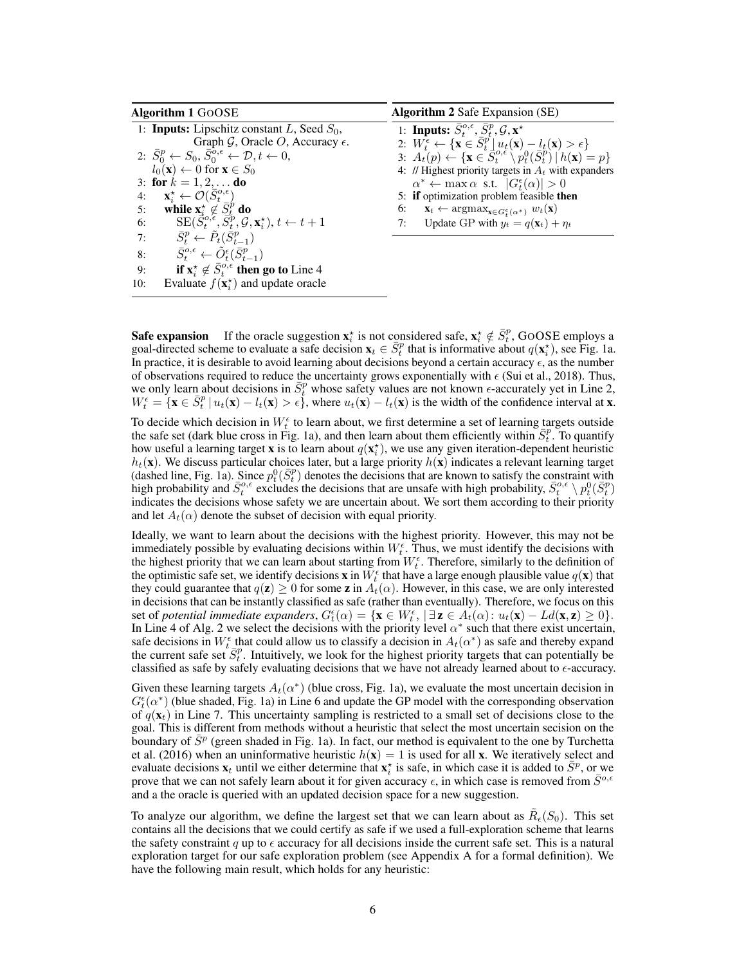<span id="page-5-11"></span><span id="page-5-10"></span><span id="page-5-9"></span><span id="page-5-8"></span><span id="page-5-7"></span><span id="page-5-5"></span><span id="page-5-4"></span><span id="page-5-2"></span><span id="page-5-1"></span>

| <b>Algorithm 1 GOOSE</b>                             |                                                                                                       | <b>Algorithm 2</b> Safe Expansion (SE)                                                                                    |  |
|------------------------------------------------------|-------------------------------------------------------------------------------------------------------|---------------------------------------------------------------------------------------------------------------------------|--|
| 1: <b>Inputs:</b> Lipschitz constant L, Seed $S_0$ , |                                                                                                       | 1: Inputs: $\bar{S}^{o,\epsilon}_t$ , $\bar{S}^p_t$ , $\mathcal{G}, \mathbf{x}^{\star}$                                   |  |
|                                                      | Graph $\mathcal{G}$ , Oracle O, Accuracy $\epsilon$ .                                                 | 2: $W_t^{\epsilon} \leftarrow {\mathbf{x} \in \bar{S}_t^p \mid u_t(\mathbf{x}) - l_t(\mathbf{x}) > \epsilon}$             |  |
|                                                      | 2: $\bar{S}_0^p \leftarrow S_0, \bar{S}_0^{o,\epsilon} \leftarrow \mathcal{D}, t \leftarrow 0,$       | 3: $A_t(p) \leftarrow {\mathbf{x} \in \overline{S}_t^{o,\epsilon} \setminus p_t^0(\overline{S}_t^p)   h(\mathbf{x}) = p}$ |  |
|                                                      | $l_0(\mathbf{x}) \leftarrow 0$ for $\mathbf{x} \in S_0$                                               | 4: // Highest priority targets in $A_t$ with expanders                                                                    |  |
|                                                      | 3: for $k = 1, 2, $ do                                                                                | $\alpha^* \leftarrow \max \alpha$ s.t. $ G_t^{\epsilon}(\alpha)  > 0$                                                     |  |
| 4:                                                   | $\mathbf{x}_i^{\star} \leftarrow \mathcal{O}(S_t^{o,\epsilon})$                                       | 5: if optimization problem feasible then                                                                                  |  |
| 5:                                                   | while $\mathbf{x}_i^* \notin S_t^p$ do                                                                | 6: $\mathbf{x}_t \leftarrow \arg\max_{\mathbf{x} \in G_t^{\epsilon}(\alpha^*)} w_t(\mathbf{x})$                           |  |
| 6:                                                   | $\text{SE}(\vec{S}^{o,\epsilon}_t, \vec{S}^p_t, \mathcal{G}, \mathbf{x}^{\star}_i), t \leftarrow t+1$ | Update GP with $y_t = q(\mathbf{x}_t) + \eta_t$<br>7:                                                                     |  |
| 7:                                                   | $\bar{S}^p_t \leftarrow \bar{P}_t(\bar{S}^p_{t-1})$                                                   |                                                                                                                           |  |
| 8:                                                   | $\bar{S}^{o,\epsilon}_{t} \leftarrow \tilde{O}_{t}^{\epsilon}(\bar{S}^{p}_{t-1})$                     |                                                                                                                           |  |
| 9:                                                   | if $x_i^* \notin \bar{S}_i^{o,\epsilon}$ then go to Line 4                                            |                                                                                                                           |  |
| 10:                                                  | Evaluate $f(\mathbf{x}_i^{\star})$ and update oracle                                                  |                                                                                                                           |  |

<span id="page-5-6"></span><span id="page-5-3"></span>**Safe expansion** If the oracle suggestion  $\mathbf{x}_i^*$  is not considered safe,  $\mathbf{x}_i^* \notin \overline{S}_t^p$ , GOOSE employs a goal-directed scheme to evaluate a safe decision  $\mathbf{x}_t \in \overline{S_t^p}$  that is informative about  $q(\mathbf{x}_i^*)$ , see Fig. [1a.](#page-1-0) In practice, it is desirable to avoid learning about decisions beyond a certain accuracy  $\epsilon$ , as the number of observations required to reduce the uncertainty grows exponentially with  $\epsilon$  [\(Sui et al., 2018\)](#page-10-8). Thus, we only learn about decisions in  $\bar{S}_t^p$  whose safety values are not known  $\epsilon$ -accurately yet in Line [2,](#page-5-8)  $W_t^{\epsilon} = {\mathbf{x} \in \bar{S}_t^p | u_t(\mathbf{x}) - l_t(\mathbf{x}) > \epsilon},$  where  $u_t(\mathbf{x}) - l_t(\mathbf{x})$  is the width of the confidence interval at  $\mathbf{x}$ .

To decide which decision in  $W_t^{\epsilon}$  to learn about, we first determine a set of learning targets outside the safe set (dark blue cross in Fig. [1a\)](#page-1-0), and then learn about them efficiently within  $\bar{S}_t^p$ . To quantify how useful a learning target **x** is to learn about  $q(\mathbf{x}_i^{\star})$ , we use any given iteration-dependent heuristic  $h_t(\mathbf{x})$ . We discuss particular choices later, but a large priority  $h(\mathbf{x})$  indicates a relevant learning target (dashed line, Fig. [1a\)](#page-1-0). Since  $p_t^0(\bar{S}_t^p)$  denotes the decisions that are known to satisfy the constraint with high probability and  $\bar{S}^{\circ,\epsilon}_t$  excludes the decisions that are unsafe with high probability,  $\bar{S}^{\circ,\epsilon}_t \setminus p_t^0(\bar{S}^p_t)$ indicates the decisions whose safety we are uncertain about. We sort them according to their priority and let  $A_t(\alpha)$  denote the subset of decision with equal priority.

Ideally, we want to learn about the decisions with the highest priority. However, this may not be immediately possible by evaluating decisions within  $W_t^{\epsilon}$ . Thus, we must identify the decisions with the highest priority that we can learn about starting from  $W_t^{\epsilon}$ . Therefore, similarly to the definition of the optimistic safe set, we identify decisions **x** in  $W_t^{\epsilon}$  that have a large enough plausible value  $q(\mathbf{x})$  that they could guarantee that  $q(z) \ge 0$  for some z in  $A_t(\alpha)$ . However, in this case, we are only interested in decisions that can be instantly classified as safe (rather than eventually). Therefore, we focus on this set of *potential immediate expanders*,  $G_t^{\epsilon}(\alpha) = {\mathbf{x} \in W_t^{\epsilon}}$ ,  $|\exists \mathbf{z} \in A_t(\alpha): u_t(\mathbf{x}) - Ld(\mathbf{x}, \mathbf{z}) \ge 0$ . In Line [4](#page-5-9) of Alg. [2](#page-5-2) we select the decisions with the priority level  $\alpha^*$  such that there exist uncertain, safe decisions in  $W_t^{\epsilon}$  that could allow us to classify a decision in  $A_t(\alpha^*)$  as safe and thereby expand the current safe set  $\bar{S}_t^p$ . Intuitively, we look for the highest priority targets that can potentially be classified as safe by safely evaluating decisions that we have not already learned about to  $\epsilon$ -accuracy.

Given these learning targets  $A_t(\alpha^*)$  (blue cross, Fig. [1a\)](#page-1-0), we evaluate the most uncertain decision in  $G_t^{\epsilon}(\alpha^*)$  (blue shaded, Fig. [1a\)](#page-1-0) in Line [6](#page-5-10) and update the GP model with the corresponding observation of  $q(\mathbf{x}_t)$  in Line [7.](#page-5-11) This uncertainty sampling is restricted to a small set of decisions close to the goal. This is different from methods without a heuristic that select the most uncertain secision on the boundary of  $\bar{S}^p$  (green shaded in Fig. [1a\)](#page-1-0). In fact, our method is equivalent to the one by [Turchetta](#page-10-9) [et al.](#page-10-9) [\(2016\)](#page-10-9) when an uninformative heuristic  $h(\mathbf{x}) = 1$  is used for all **x**. We iteratively select and evaluate decisions  $x_t$  until we either determine that  $x_t^*$  is safe, in which case it is added to  $\bar{S}^p$ , or we prove that we can not safely learn about it for given accuracy  $\epsilon$ , in which case is removed from  $\bar{S}^{\sigma,\epsilon}$ and a the oracle is queried with an updated decision space for a new suggestion.

<span id="page-5-0"></span>To analyze our algorithm, we define the largest set that we can learn about as  $\tilde{R}_{\epsilon}(S_0)$ . This set contains all the decisions that we could certify as safe if we used a full-exploration scheme that learns the safety constraint q up to  $\epsilon$  accuracy for all decisions inside the current safe set. This is a natural exploration target for our safe exploration problem (see Appendix [A](#page-11-0) for a formal definition). We have the following main result, which holds for any heuristic: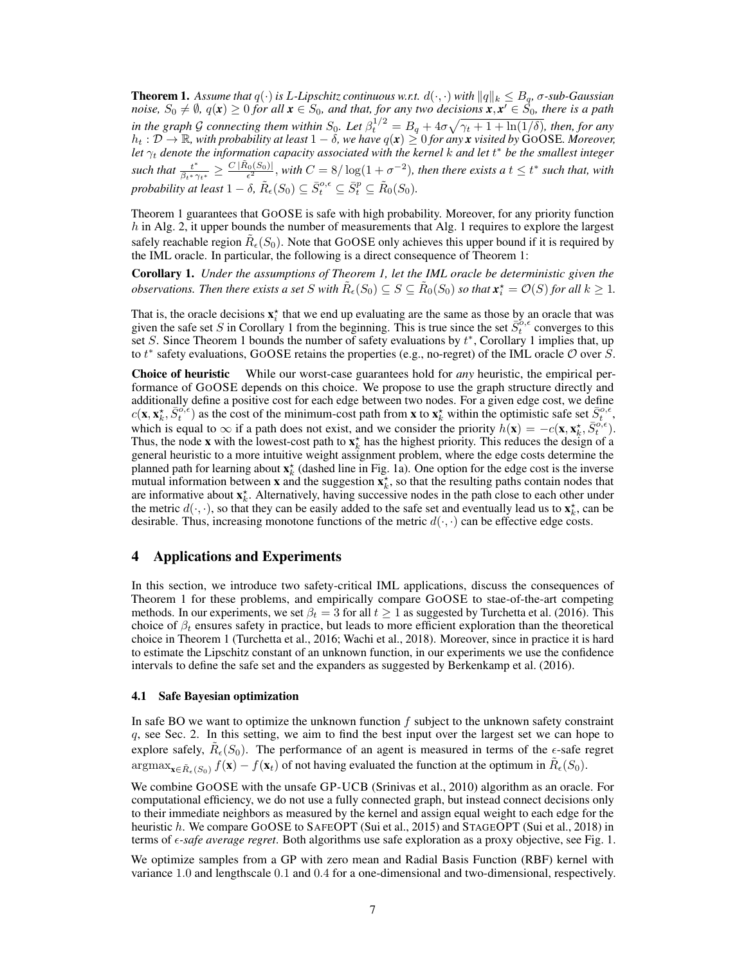**Theorem 1.** Assume that  $q(\cdot)$  is L-Lipschitz continuous w.r.t.  $d(\cdot, \cdot)$  with  $||q||_k \leq B_q$ ,  $\sigma$ -sub-Gaussian *noise,*  $S_0 \neq \emptyset$ ,  $q(x) \geq 0$  *for all*  $x \in S_0$ , and that, for any two decisions  $x, x' \in \tilde{S_0}$ , there is a path *in the graph* G *connecting them within*  $S_0$ *. Let*  $\beta_t^{1/2} = B_q + 4\sigma \sqrt{\gamma_t + 1 + \ln(1/\delta)}$ *, then, for any*  $h_t: \mathcal{D} \to \mathbb{R}$ , with probability at least  $1-\delta$ , we have  $q(x) \geq 0$  for any **x** visited by  $\text{GOSE}$ *. Moreover,* let  $\gamma_t$  denote the information capacity associated with the kernel  $k$  and let  $t^*$  be the smallest integer  $\frac{t^*}{\beta t^* \gamma_{t^*}} \geq \frac{C |\tilde{R}_0(S_0)|}{\epsilon^2}$ , with  $C = 8/\log(1 + \sigma^{-2})$ , then there exists a  $t \leq t^*$  such that, with *probability at least*  $1 - \delta$ *,*  $\tilde{R}_{\epsilon}(S_0) \subseteq \bar{S}_t^{o,\epsilon} \subseteq \bar{S}_t^p \subseteq \tilde{R}_0(S_0)$ *.* 

Theorem [1](#page-5-0) guarantees that GOOSE is safe with high probability. Moreover, for any priority function  $h$  in Alg. [2,](#page-5-2) it upper bounds the number of measurements that Alg. [1](#page-5-1) requires to explore the largest safely reachable region  $\tilde{R}_{\epsilon}(S_0)$ . Note that GOOSE only achieves this upper bound if it is required by the [IML](#page-0-0) oracle. In particular, the following is a direct consequence of Theorem [1:](#page-5-0)

<span id="page-6-0"></span>Corollary 1. *Under the assumptions of Theorem [1,](#page-5-0) let the [IML](#page-0-0) oracle be deterministic given the observations. Then there exists a set* S with  $\tilde{R}_{\epsilon}(S_0) \subseteq S \subseteq \tilde{R}_{0}(S_0)$  so that  $\mathbf{x}_i^{\star} = \mathcal{O}(S)$  for all  $k \geq 1$ .

That is, the oracle decisions  $x_i^*$  that we end up evaluating are the same as those by an oracle that was given the safe set S in Corollary [1](#page-6-0) from the beginning. This is true since the set  $\bar{S}^{o,\epsilon}_t$  converges to this set S. Since Theorem [1](#page-6-0) bounds the number of safety evaluations by  $t^*$ , Corollary 1 implies that, up to  $t^*$  safety evaluations, GOOSE retains the properties (e.g., no-regret) of the [IML](#page-0-0) oracle  $O$  over S.

Choice of heuristic While our worst-case guarantees hold for *any* heuristic, the empirical performance of GOOSE depends on this choice. We propose to use the graph structure directly and additionally define a positive cost for each edge between two nodes. For a given edge cost, we define  $c(\mathbf{x}, \mathbf{x}_k^{\star}, \bar{S}_{t}^{\circ, \epsilon})$  as the cost of the minimum-cost path from **x** to  $\mathbf{x}_k^{\star}$  within the optimistic safe set  $\bar{S}_{t}^{\circ, \epsilon}$ , which is equal to  $\infty$  if a path does not exist, and we consider the priority  $h(\mathbf{x}) = -c(\mathbf{x}, \mathbf{x}_k^{\star}, \overline{S_t^o}^{\delta, \epsilon})$ . Thus, the node **x** with the lowest-cost path to  $x_k^*$  has the highest priority. This reduces the design of a general heuristic to a more intuitive weight assignment problem, where the edge costs determine the planned path for learning about  $\mathbf{x}_k^*$  (dashed line in Fig. [1a\)](#page-1-0). One option for the edge cost is the inverse mutual information between **x** and the suggestion  $\mathbf{x}_k^*$ , so that the resulting paths contain nodes that are informative about  $\mathbf{x}_k^*$ . Alternatively, having successive nodes in the path close to each other under the metric  $d(\cdot, \cdot)$ , so that they can be easily added to the safe set and eventually lead us to  $\mathbf{x}_k^*$ , can be desirable. Thus, increasing monotone functions of the metric  $d(\cdot, \cdot)$  can be effective edge costs.

# 4 Applications and Experiments

In this section, we introduce two safety-critical [IML](#page-0-0) applications, discuss the consequences of Theorem [1](#page-5-0) for these problems, and empirically compare GOOSE to stae-of-the-art competing methods. In our experiments, we set  $\beta_t = 3$  for all  $t \ge 1$  as suggested by [Turchetta et al.](#page-10-9) [\(2016\)](#page-10-9). This choice of  $\beta_t$  ensures safety in practice, but leads to more efficient exploration than the theoretical choice in Theorem [1](#page-5-0) [\(Turchetta et al., 2016;](#page-10-9) [Wachi et al., 2018\)](#page-10-10). Moreover, since in practice it is hard to estimate the Lipschitz constant of an unknown function, in our experiments we use the confidence intervals to define the safe set and the expanders as suggested by [Berkenkamp et al.](#page-9-6) [\(2016\)](#page-9-6).

#### 4.1 Safe Bayesian optimization

In safe BO we want to optimize the unknown function  $f$  subject to the unknown safety constraint q, see Sec. [2.](#page-1-1) In this setting, we aim to find the best input over the largest set we can hope to explore safely,  $\tilde{R}_{\epsilon}(S_0)$ . The performance of an agent is measured in terms of the  $\epsilon$ -safe regret  $\operatorname{argmax}_{\mathbf{x} \in \tilde{R}_{\epsilon}(S_0)} f(\mathbf{x}) - f(\mathbf{x}_t)$  of not having evaluated the function at the optimum in  $\tilde{R}_{\epsilon}(S_0)$ .

We combine GOOSE with the unsafe GP-UCB [\(Srinivas et al., 2010\)](#page-10-2) algorithm as an oracle. For computational efficiency, we do not use a fully connected graph, but instead connect decisions only to their immediate neighbors as measured by the kernel and assign equal weight to each edge for the heuristic h. We compare GOOSE to SAFEOPT [\(Sui et al., 2015\)](#page-10-7) and STAGEOPT [\(Sui et al., 2018\)](#page-10-8) in terms of *-safe average regret*. Both algorithms use safe exploration as a proxy objective, see Fig. [1.](#page-1-0)

We optimize samples from a GP with zero mean and Radial Basis Function (RBF) kernel with variance 1.0 and lengthscale 0.1 and 0.4 for a one-dimensional and two-dimensional, respectively.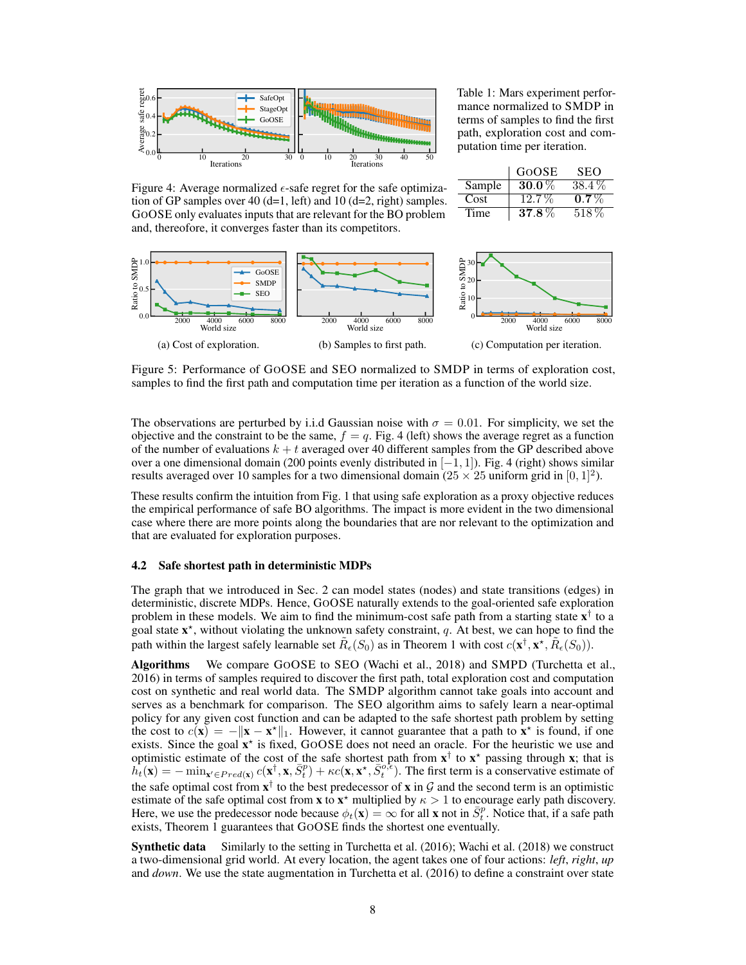<span id="page-7-0"></span>

Table 1: Mars experiment performance normalized to SMDP in terms of samples to find the first path, exploration cost and computation time per iteration.

|        | GOOSE    | <b>SEO</b> |
|--------|----------|------------|
| Sample | $30.0\%$ | 38.4%      |
| Cost   | $12.7\%$ | $0.7\%$    |
| Time   | $37.8\%$ | 518\%      |

Figure 4: Average normalized  $\epsilon$ -safe regret for the safe optimization of GP samples over 40 (d=1, left) and 10 (d=2, right) samples. GOOSE only evaluates inputs that are relevant for the BO problem and, thereofore, it converges faster than its competitors.

<span id="page-7-1"></span>

Figure 5: Performance of GOOSE and SEO normalized to SMDP in terms of exploration cost, samples to find the first path and computation time per iteration as a function of the world size.

The observations are perturbed by i.i.d Gaussian noise with  $\sigma = 0.01$ . For simplicity, we set the objective and the constraint to be the same,  $f = q$ . Fig. [4](#page-7-0) (left) shows the average regret as a function of the number of evaluations  $k + t$  averaged over 40 different samples from the GP described above over a one dimensional domain (200 points evenly distributed in  $[-1, 1]$ ). Fig. [4](#page-7-0) (right) shows similar results averaged over 10 samples for a two dimensional domain  $(25 \times 25)$  uniform grid in  $[0, 1]^2$ ).

These results confirm the intuition from Fig. [1](#page-1-0) that using safe exploration as a proxy objective reduces the empirical performance of safe BO algorithms. The impact is more evident in the two dimensional case where there are more points along the boundaries that are nor relevant to the optimization and that are evaluated for exploration purposes.

#### 4.2 Safe shortest path in deterministic MDPs

The graph that we introduced in Sec. [2](#page-1-1) can model states (nodes) and state transitions (edges) in deterministic, discrete MDPs. Hence, GOOSE naturally extends to the goal-oriented safe exploration problem in these models. We aim to find the minimum-cost safe path from a starting state  $x^{\dagger}$  to a goal state  $x^*$ , without violating the unknown safety constraint, q. At best, we can hope to find the path within the largest safely learnable set  $\tilde{R}_{\epsilon}(S_0)$  as in Theorem [1](#page-5-0) with cost  $c(\mathbf{x}^\dagger, \mathbf{x}^\star, \tilde{R}_{\epsilon}(S_0))$ .

Algorithms We compare GOOSE to SEO [\(Wachi et al., 2018\)](#page-10-10) and SMPD [\(Turchetta et al.,](#page-10-9) [2016\)](#page-10-9) in terms of samples required to discover the first path, total exploration cost and computation cost on synthetic and real world data. The SMDP algorithm cannot take goals into account and serves as a benchmark for comparison. The SEO algorithm aims to safely learn a near-optimal policy for any given cost function and can be adapted to the safe shortest path problem by setting the cost to  $c(\mathbf{x}) = -\|\mathbf{x} - \mathbf{x}^*\|_1$ . However, it cannot guarantee that a path to  $\mathbf{x}^*$  is found, if one exists. Since the goal  $x^*$  is fixed, GOOSE does not need an oracle. For the heuristic we use and optimistic estimate of the cost of the safe shortest path from  $x^{\dagger}$  to  $x^*$  passing through x; that is  $h_t(\mathbf{x}) = -\min_{\mathbf{x}' \in Pred(\mathbf{x})} c(\mathbf{x}^{\dagger}, \mathbf{x}, \bar{S}_t^p) + \kappa c(\mathbf{x}, \mathbf{x}^{\star}, \bar{S}_t^{o,\epsilon})$ . The first term is a conservative estimate of the safe optimal cost from  $x^{\dagger}$  to the best predecessor of x in G and the second term is an optimistic estimate of the safe optimal cost from **x** to  $\mathbf{x}^*$  multiplied by  $\kappa > 1$  to encourage early path discovery. Here, we use the predecessor node because  $\phi_t(\mathbf{x}) = \infty$  for all **x** not in  $\overline{S_t^p}$ . Notice that, if a safe path exists, Theorem [1](#page-5-0) guarantees that GOOSE finds the shortest one eventually.

Synthetic data Similarly to the setting in [Turchetta et al.](#page-10-9) [\(2016\)](#page-10-9); [Wachi et al.](#page-10-10) [\(2018\)](#page-10-10) we construct a two-dimensional grid world. At every location, the agent takes one of four actions: *left*, *right*, *up* and *down*. We use the state augmentation in [Turchetta et al.](#page-10-9) [\(2016\)](#page-10-9) to define a constraint over state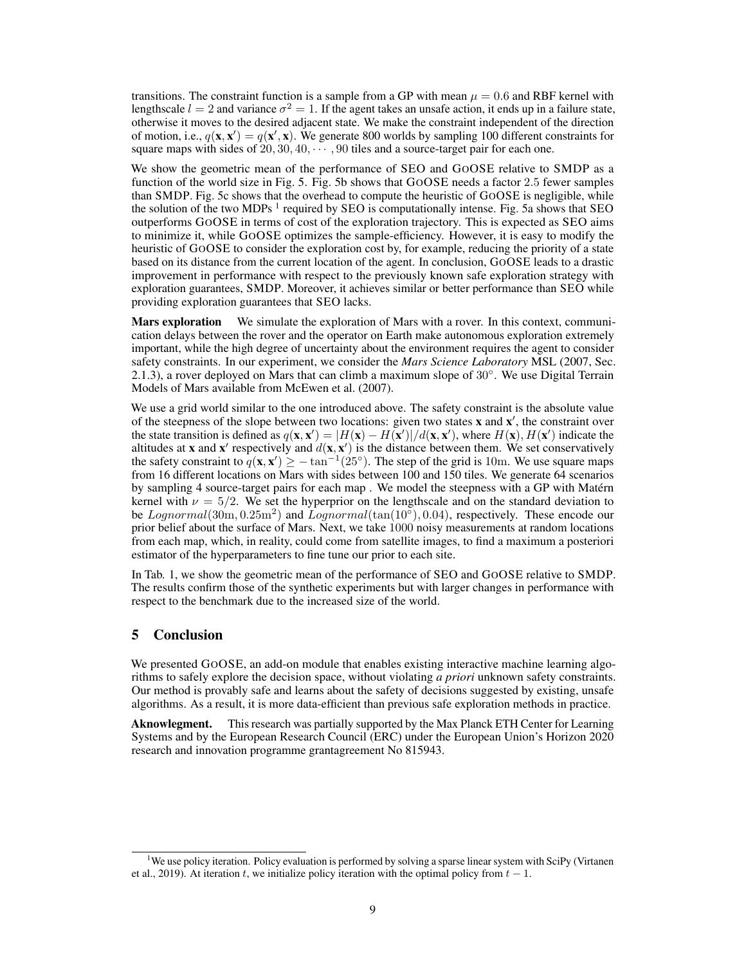transitions. The constraint function is a sample from a GP with mean  $\mu = 0.6$  and RBF kernel with lengthscale  $l = 2$  and variance  $\sigma^2 = 1$ . If the agent takes an unsafe action, it ends up in a failure state, otherwise it moves to the desired adjacent state. We make the constraint independent of the direction of motion, i.e.,  $q(\mathbf{x}, \mathbf{x}') = q(\mathbf{x}', \mathbf{x})$ . We generate 800 worlds by sampling 100 different constraints for square maps with sides of  $20, 30, 40, \cdots, 90$  tiles and a source-target pair for each one.

We show the geometric mean of the performance of SEO and GOOSE relative to SMDP as a function of the world size in Fig. [5.](#page-7-1) Fig. [5b](#page-7-1) shows that GOOSE needs a factor 2.5 fewer samples than SMDP. Fig. [5c](#page-7-1) shows that the overhead to compute the heuristic of GOOSE is negligible, while the solution of the two MDPs  $<sup>1</sup>$  $<sup>1</sup>$  $<sup>1</sup>$  required by SEO is computationally intense. Fig. [5a](#page-7-1) shows that SEO</sup> outperforms GOOSE in terms of cost of the exploration trajectory. This is expected as SEO aims to minimize it, while GOOSE optimizes the sample-efficiency. However, it is easy to modify the heuristic of GOOSE to consider the exploration cost by, for example, reducing the priority of a state based on its distance from the current location of the agent. In conclusion, GOOSE leads to a drastic improvement in performance with respect to the previously known safe exploration strategy with exploration guarantees, SMDP. Moreover, it achieves similar or better performance than SEO while providing exploration guarantees that SEO lacks.

Mars exploration We simulate the exploration of Mars with a rover. In this context, communication delays between the rover and the operator on Earth make autonomous exploration extremely important, while the high degree of uncertainty about the environment requires the agent to consider safety constraints. In our experiment, we consider the *Mars Science Laboratory* [MSL](#page-9-14) [\(2007,](#page-9-14) Sec. 2.1.3), a rover deployed on Mars that can climb a maximum slope of 30◦ . We use Digital Terrain Models of Mars available from [McEwen et al.](#page-9-15) [\(2007\)](#page-9-15).

We use a grid world similar to the one introduced above. The safety constraint is the absolute value of the steepness of the slope between two locations: given two states  $x$  and  $x'$ , the constraint over the state transition is defined as  $q(\mathbf{x}, \mathbf{x}') = |H(\mathbf{x}) - H(\mathbf{x}')|/d(\mathbf{x}, \mathbf{x}')$ , where  $H(\mathbf{x}), H(\mathbf{x}')$  indicate the altitudes at **x** and **x'** respectively and  $d(\mathbf{x}, \mathbf{x}')$  is the distance between them. We set conservatively the safety constraint to  $q(\mathbf{x}, \mathbf{x}') \ge -\tan^{-1}(25^\circ)$ . The step of the grid is 10m. We use square maps from 16 different locations on Mars with sides between 100 and 150 tiles. We generate 64 scenarios by sampling 4 source-target pairs for each map . We model the steepness with a GP with Matérn kernel with  $\nu = 5/2$ . We set the hyperprior on the lengthscale and on the standard deviation to be  $Lognormal(30m, 0.25m^2)$  and  $Lognormal(tan(10^{\circ}), 0.04)$ , respectively. These encode our prior belief about the surface of Mars. Next, we take 1000 noisy measurements at random locations from each map, which, in reality, could come from satellite images, to find a maximum a posteriori estimator of the hyperparameters to fine tune our prior to each site.

In Tab. 1, we show the geometric mean of the performance of SEO and GOOSE relative to SMDP. The results confirm those of the synthetic experiments but with larger changes in performance with respect to the benchmark due to the increased size of the world.

# 5 Conclusion

We presented GOOSE, an add-on module that enables existing interactive machine learning algorithms to safely explore the decision space, without violating *a priori* unknown safety constraints. Our method is provably safe and learns about the safety of decisions suggested by existing, unsafe algorithms. As a result, it is more data-efficient than previous safe exploration methods in practice.

Aknowlegment. This research was partially supported by the Max Planck ETH Center for Learning Systems and by the European Research Council (ERC) under the European Union's Horizon 2020 research and innovation programme grantagreement No 815943.

<span id="page-8-0"></span><sup>1</sup>We use policy iteration. Policy evaluation is performed by solving a sparse linear system with SciPy [\(Virtanen](#page-10-12) [et al., 2019\)](#page-10-12). At iteration t, we initialize policy iteration with the optimal policy from  $t - 1$ .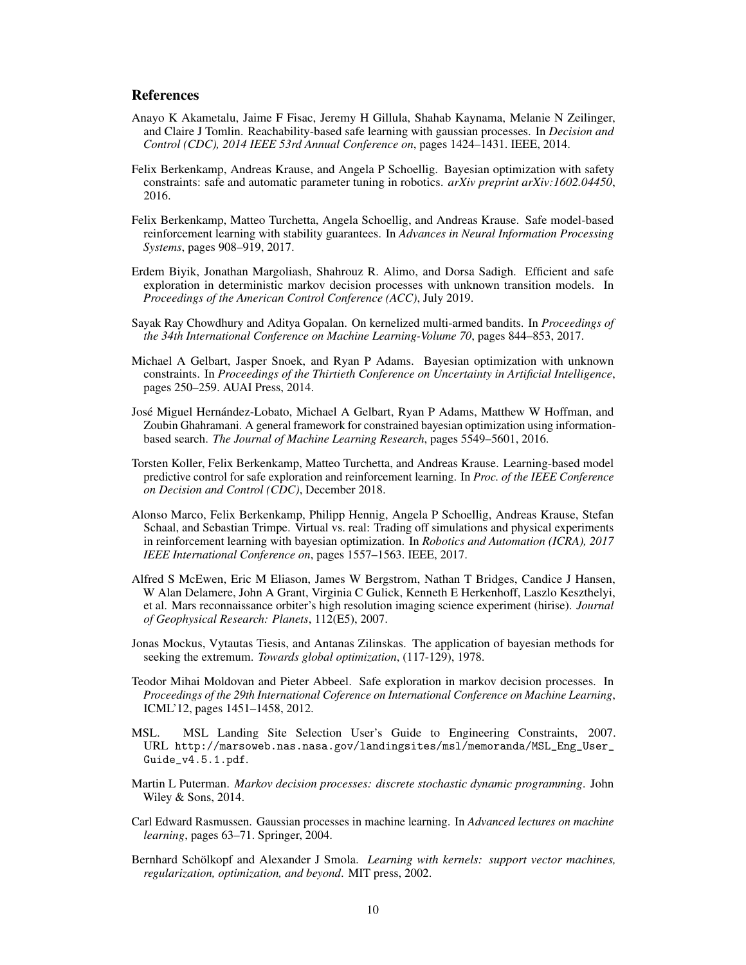#### References

- <span id="page-9-9"></span>Anayo K Akametalu, Jaime F Fisac, Jeremy H Gillula, Shahab Kaynama, Melanie N Zeilinger, and Claire J Tomlin. Reachability-based safe learning with gaussian processes. In *Decision and Control (CDC), 2014 IEEE 53rd Annual Conference on*, pages 1424–1431. IEEE, 2014.
- <span id="page-9-6"></span>Felix Berkenkamp, Andreas Krause, and Angela P Schoellig. Bayesian optimization with safety constraints: safe and automatic parameter tuning in robotics. *arXiv preprint arXiv:1602.04450*, 2016.
- <span id="page-9-11"></span>Felix Berkenkamp, Matteo Turchetta, Angela Schoellig, and Andreas Krause. Safe model-based reinforcement learning with stability guarantees. In *Advances in Neural Information Processing Systems*, pages 908–919, 2017.
- <span id="page-9-8"></span>Erdem Biyik, Jonathan Margoliash, Shahrouz R. Alimo, and Dorsa Sadigh. Efficient and safe exploration in deterministic markov decision processes with unknown transition models. In *Proceedings of the American Control Conference (ACC)*, July 2019.
- <span id="page-9-13"></span>Sayak Ray Chowdhury and Aditya Gopalan. On kernelized multi-armed bandits. In *Proceedings of the 34th International Conference on Machine Learning-Volume 70*, pages 844–853, 2017.
- <span id="page-9-4"></span>Michael A Gelbart, Jasper Snoek, and Ryan P Adams. Bayesian optimization with unknown constraints. In *Proceedings of the Thirtieth Conference on Uncertainty in Artificial Intelligence*, pages 250–259. AUAI Press, 2014.
- <span id="page-9-5"></span>José Miguel Hernández-Lobato, Michael A Gelbart, Ryan P Adams, Matthew W Hoffman, and Zoubin Ghahramani. A general framework for constrained bayesian optimization using informationbased search. *The Journal of Machine Learning Research*, pages 5549–5601, 2016.
- <span id="page-9-10"></span>Torsten Koller, Felix Berkenkamp, Matteo Turchetta, and Andreas Krause. Learning-based model predictive control for safe exploration and reinforcement learning. In *Proc. of the IEEE Conference on Decision and Control (CDC)*, December 2018.
- <span id="page-9-1"></span>Alonso Marco, Felix Berkenkamp, Philipp Hennig, Angela P Schoellig, Andreas Krause, Stefan Schaal, and Sebastian Trimpe. Virtual vs. real: Trading off simulations and physical experiments in reinforcement learning with bayesian optimization. In *Robotics and Automation (ICRA), 2017 IEEE International Conference on*, pages 1557–1563. IEEE, 2017.
- <span id="page-9-15"></span>Alfred S McEwen, Eric M Eliason, James W Bergstrom, Nathan T Bridges, Candice J Hansen, W Alan Delamere, John A Grant, Virginia C Gulick, Kenneth E Herkenhoff, Laszlo Keszthelyi, et al. Mars reconnaissance orbiter's high resolution imaging science experiment (hirise). *Journal of Geophysical Research: Planets*, 112(E5), 2007.
- <span id="page-9-0"></span>Jonas Mockus, Vytautas Tiesis, and Antanas Zilinskas. The application of bayesian methods for seeking the extremum. *Towards global optimization*, (117-129), 1978.
- <span id="page-9-7"></span>Teodor Mihai Moldovan and Pieter Abbeel. Safe exploration in markov decision processes. In *Proceedings of the 29th International Coference on International Conference on Machine Learning*, ICML'12, pages 1451–1458, 2012.
- <span id="page-9-14"></span>MSL. MSL Landing Site Selection User's Guide to Engineering Constraints, 2007. URL [http://marsoweb.nas.nasa.gov/landingsites/msl/memoranda/MSL\\_Eng\\_User\\_](http://marsoweb.nas.nasa.gov/landingsites/msl/memoranda/MSL_Eng_User_Guide_v4.5.1.pdf) [Guide\\_v4.5.1.pdf](http://marsoweb.nas.nasa.gov/landingsites/msl/memoranda/MSL_Eng_User_Guide_v4.5.1.pdf).
- <span id="page-9-2"></span>Martin L Puterman. *Markov decision processes: discrete stochastic dynamic programming*. John Wiley & Sons, 2014.
- <span id="page-9-3"></span>Carl Edward Rasmussen. Gaussian processes in machine learning. In *Advanced lectures on machine learning*, pages 63–71. Springer, 2004.
- <span id="page-9-12"></span>Bernhard Schölkopf and Alexander J Smola. *Learning with kernels: support vector machines, regularization, optimization, and beyond*. MIT press, 2002.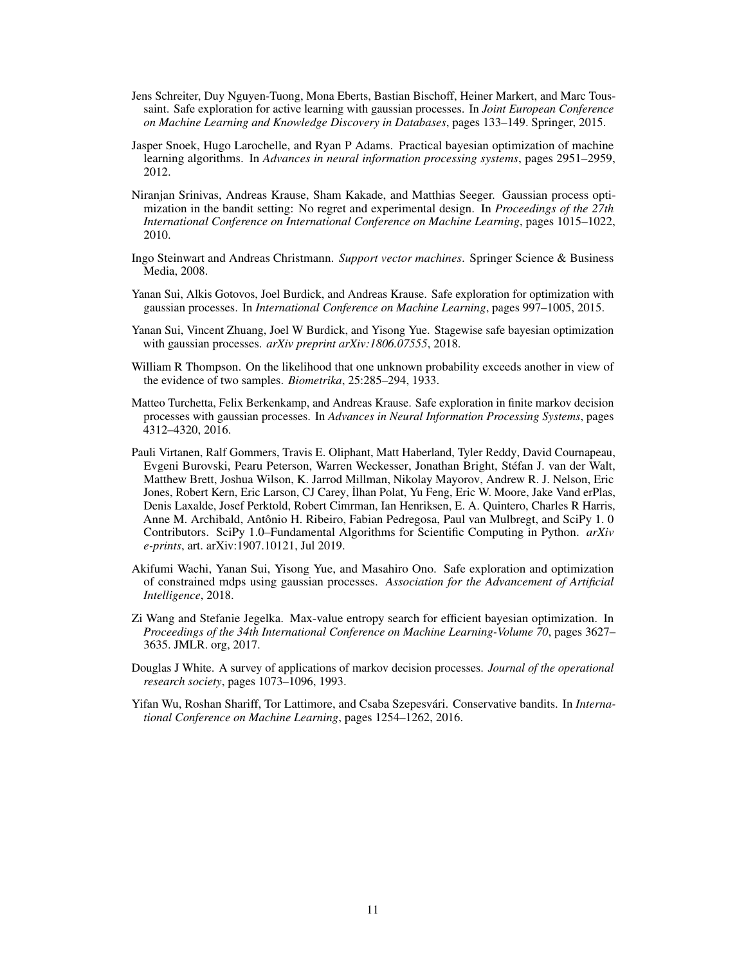- <span id="page-10-6"></span>Jens Schreiter, Duy Nguyen-Tuong, Mona Eberts, Bastian Bischoff, Heiner Markert, and Marc Toussaint. Safe exploration for active learning with gaussian processes. In *Joint European Conference on Machine Learning and Knowledge Discovery in Databases*, pages 133–149. Springer, 2015.
- <span id="page-10-0"></span>Jasper Snoek, Hugo Larochelle, and Ryan P Adams. Practical bayesian optimization of machine learning algorithms. In *Advances in neural information processing systems*, pages 2951–2959, 2012.
- <span id="page-10-2"></span>Niranjan Srinivas, Andreas Krause, Sham Kakade, and Matthias Seeger. Gaussian process optimization in the bandit setting: No regret and experimental design. In *Proceedings of the 27th International Conference on International Conference on Machine Learning*, pages 1015–1022, 2010.
- <span id="page-10-11"></span>Ingo Steinwart and Andreas Christmann. *Support vector machines*. Springer Science & Business Media, 2008.
- <span id="page-10-7"></span>Yanan Sui, Alkis Gotovos, Joel Burdick, and Andreas Krause. Safe exploration for optimization with gaussian processes. In *International Conference on Machine Learning*, pages 997–1005, 2015.
- <span id="page-10-8"></span>Yanan Sui, Vincent Zhuang, Joel W Burdick, and Yisong Yue. Stagewise safe bayesian optimization with gaussian processes. *arXiv preprint arXiv:1806.07555*, 2018.
- <span id="page-10-3"></span>William R Thompson. On the likelihood that one unknown probability exceeds another in view of the evidence of two samples. *Biometrika*, 25:285–294, 1933.
- <span id="page-10-9"></span>Matteo Turchetta, Felix Berkenkamp, and Andreas Krause. Safe exploration in finite markov decision processes with gaussian processes. In *Advances in Neural Information Processing Systems*, pages 4312–4320, 2016.
- <span id="page-10-12"></span>Pauli Virtanen, Ralf Gommers, Travis E. Oliphant, Matt Haberland, Tyler Reddy, David Cournapeau, Evgeni Burovski, Pearu Peterson, Warren Weckesser, Jonathan Bright, Stéfan J. van der Walt, Matthew Brett, Joshua Wilson, K. Jarrod Millman, Nikolay Mayorov, Andrew R. J. Nelson, Eric Jones, Robert Kern, Eric Larson, CJ Carey, ˙Ilhan Polat, Yu Feng, Eric W. Moore, Jake Vand erPlas, Denis Laxalde, Josef Perktold, Robert Cimrman, Ian Henriksen, E. A. Quintero, Charles R Harris, Anne M. Archibald, Antônio H. Ribeiro, Fabian Pedregosa, Paul van Mulbregt, and SciPy 1. 0 Contributors. SciPy 1.0–Fundamental Algorithms for Scientific Computing in Python. *arXiv e-prints*, art. arXiv:1907.10121, Jul 2019.
- <span id="page-10-10"></span>Akifumi Wachi, Yanan Sui, Yisong Yue, and Masahiro Ono. Safe exploration and optimization of constrained mdps using gaussian processes. *Association for the Advancement of Artificial Intelligence*, 2018.
- <span id="page-10-4"></span>Zi Wang and Stefanie Jegelka. Max-value entropy search for efficient bayesian optimization. In *Proceedings of the 34th International Conference on Machine Learning-Volume 70*, pages 3627– 3635. JMLR. org, 2017.
- <span id="page-10-1"></span>Douglas J White. A survey of applications of markov decision processes. *Journal of the operational research society*, pages 1073–1096, 1993.
- <span id="page-10-5"></span>Yifan Wu, Roshan Shariff, Tor Lattimore, and Csaba Szepesvári. Conservative bandits. In *International Conference on Machine Learning*, pages 1254–1262, 2016.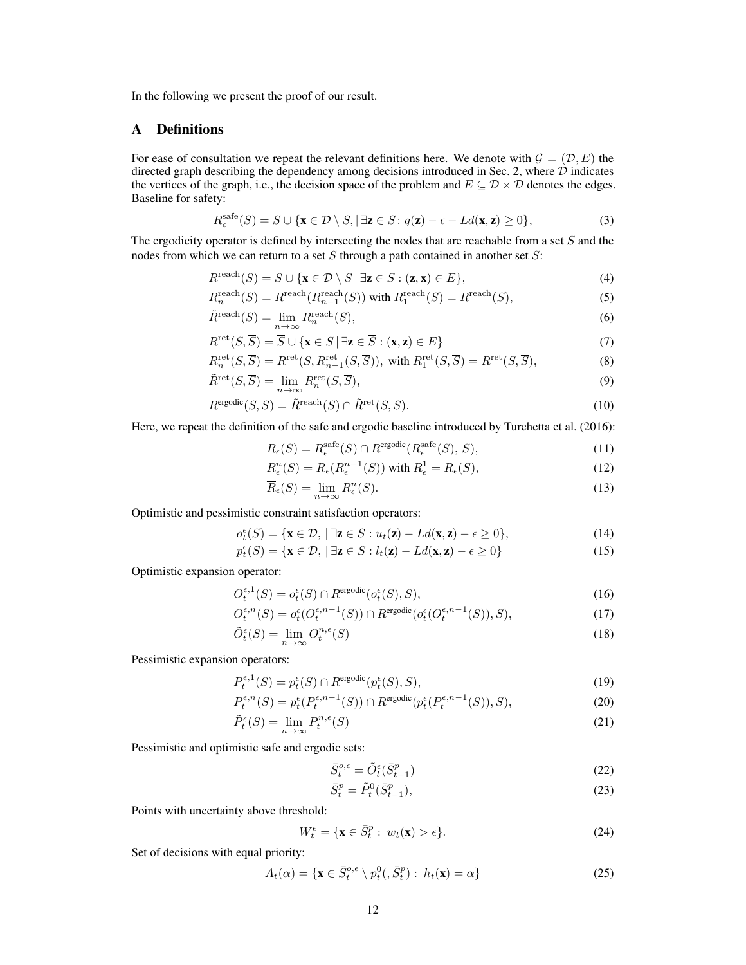In the following we present the proof of our result.

# <span id="page-11-0"></span>A Definitions

For ease of consultation we repeat the relevant definitions here. We denote with  $\mathcal{G} = (\mathcal{D}, E)$  the directed graph describing the dependency among decisions introduced in Sec. [2,](#page-1-1) where  $\hat{D}$  indicates the vertices of the graph, i.e., the decision space of the problem and  $E \subseteq \mathcal{D} \times \mathcal{D}$  denotes the edges. Baseline for safety:

$$
R_{\epsilon}^{\text{safe}}(S) = S \cup \{ \mathbf{x} \in \mathcal{D} \setminus S, |\exists \mathbf{z} \in S : q(\mathbf{z}) - \epsilon - Ld(\mathbf{x}, \mathbf{z}) \ge 0 \},\tag{3}
$$

The ergodicity operator is defined by intersecting the nodes that are reachable from a set  $S$  and the nodes from which we can return to a set  $\overline{S}$  through a path contained in another set S:

$$
R^{\text{reach}}(S) = S \cup \{ \mathbf{x} \in \mathcal{D} \setminus S \mid \exists \mathbf{z} \in S : (\mathbf{z}, \mathbf{x}) \in E \},\tag{4}
$$

$$
R_n^{\text{reach}}(S) = R^{\text{reach}}(R_{n-1}^{\text{reach}}(S)) \text{ with } R_1^{\text{reach}}(S) = R^{\text{reach}}(S),\tag{5}
$$

$$
\tilde{R}^{\text{reach}}(S) = \lim_{n \to \infty} R_n^{\text{reach}}(S),\tag{6}
$$

$$
R^{\text{ret}}(S,\overline{S}) = \overline{S} \cup \{ \mathbf{x} \in S \mid \exists \mathbf{z} \in \overline{S} : (\mathbf{x}, \mathbf{z}) \in E \}
$$
(7)

$$
R_n^{\text{ret}}(S,\overline{S}) = R^{\text{ret}}(S,R_{n-1}^{\text{ret}}(S,\overline{S})), \text{ with } R_1^{\text{ret}}(S,\overline{S}) = R^{\text{ret}}(S,\overline{S}),
$$
(8)

$$
\tilde{R}^{\text{ret}}(S,\overline{S}) = \lim_{n \to \infty} R_n^{\text{ret}}(S,\overline{S}),\tag{9}
$$

$$
R^{\text{ergodic}}(S,\overline{S}) = \tilde{R}^{\text{reach}}(\overline{S}) \cap \tilde{R}^{\text{ret}}(S,\overline{S}).\tag{10}
$$

Here, we repeat the definition of the safe and ergodic baseline introduced by [Turchetta et al.](#page-10-9) [\(2016\)](#page-10-9):

$$
R_{\epsilon}(S) = R_{\epsilon}^{\text{safe}}(S) \cap R^{\text{ergodic}}(R_{\epsilon}^{\text{safe}}(S), S), \tag{11}
$$

$$
R_{\epsilon}^{n}(S) = R_{\epsilon}(R_{\epsilon}^{n-1}(S)) \text{ with } R_{\epsilon}^{1} = R_{\epsilon}(S), \qquad (12)
$$

$$
\overline{R}_{\epsilon}(S) = \lim_{n \to \infty} R_{\epsilon}^{n}(S). \tag{13}
$$

Optimistic and pessimistic constraint satisfaction operators:

$$
o_t^{\epsilon}(S) = \{ \mathbf{x} \in \mathcal{D}, \, |\, \exists \mathbf{z} \in S : u_t(\mathbf{z}) - Ld(\mathbf{x}, \mathbf{z}) - \epsilon \ge 0 \},\tag{14}
$$

$$
p_t^{\epsilon}(S) = \{ \mathbf{x} \in \mathcal{D}, \, |\, \exists \mathbf{z} \in S : l_t(\mathbf{z}) - Ld(\mathbf{x}, \mathbf{z}) - \epsilon \ge 0 \} \tag{15}
$$

Optimistic expansion operator:

$$
O_t^{\epsilon,1}(S) = o_t^{\epsilon}(S) \cap R^{\text{ergodic}}(o_t^{\epsilon}(S), S),\tag{16}
$$

$$
O_t^{\epsilon,n}(S) = o_t^{\epsilon}(O_t^{\epsilon,n-1}(S)) \cap R^{\text{ergodic}}(o_t^{\epsilon}(O_t^{\epsilon,n-1}(S)),S),
$$
\n(17)

$$
\tilde{O}_t^{\epsilon}(S) = \lim_{n \to \infty} O_t^{n,\epsilon}(S) \tag{18}
$$

Pessimistic expansion operators:

$$
P_t^{\epsilon,1}(S) = p_t^{\epsilon}(S) \cap R^{\text{ergodic}}(p_t^{\epsilon}(S), S),\tag{19}
$$

$$
P_t^{\epsilon,n}(S) = p_t^{\epsilon}(P_t^{\epsilon,n-1}(S)) \cap R^{\text{ergodic}}(p_t^{\epsilon}(P_t^{\epsilon,n-1}(S)), S),
$$
\n(20)

$$
\tilde{P}_t^{\epsilon}(S) = \lim_{n \to \infty} P_t^{n,\epsilon}(S) \tag{21}
$$

Pessimistic and optimistic safe and ergodic sets:

$$
\bar{S}_t^{o,\epsilon} = \tilde{O}_t^{\epsilon}(\bar{S}_{t-1}^p)
$$
\n(22)

$$
\bar{S}_t^p = \tilde{P}_t^0(\bar{S}_{t-1}^p),\tag{23}
$$

Points with uncertainty above threshold:

$$
W_t^{\epsilon} = \{ \mathbf{x} \in \bar{S}_t^p : w_t(\mathbf{x}) > \epsilon \}. \tag{24}
$$

Set of decisions with equal priority:

$$
A_t(\alpha) = \{ \mathbf{x} \in \bar{S}_t^{o,\epsilon} \setminus p_t^0(\bar{S}_t^p) : h_t(\mathbf{x}) = \alpha \}
$$
 (25)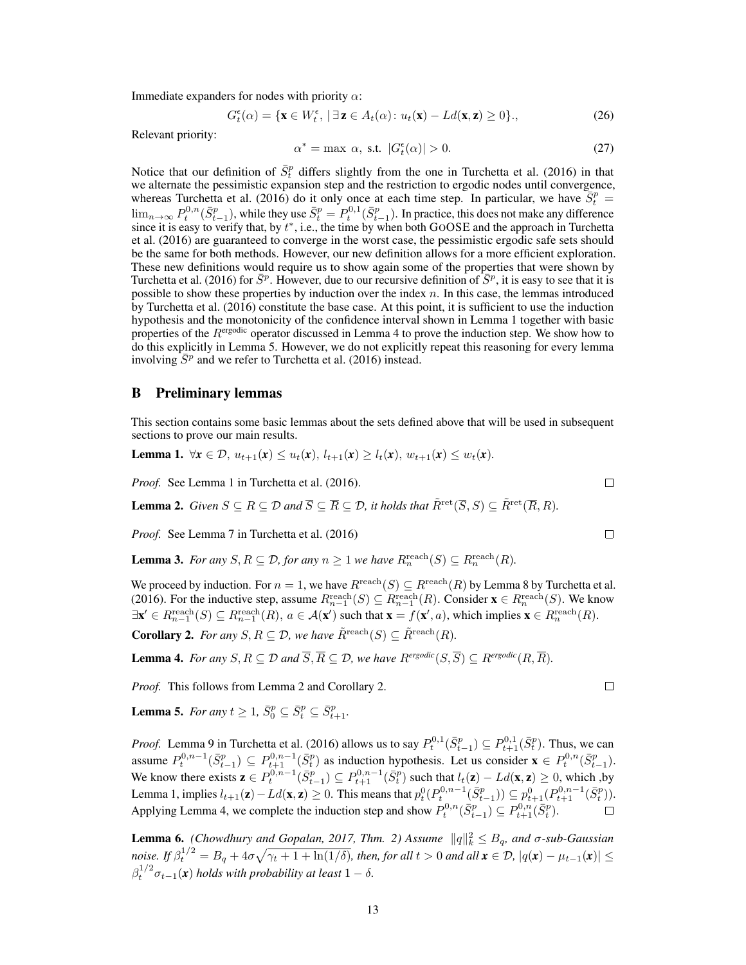Immediate expanders for nodes with priority  $\alpha$ :

$$
G_t^{\epsilon}(\alpha) = \{ \mathbf{x} \in W_t^{\epsilon}, \, |\, \exists \, \mathbf{z} \in A_t(\alpha) \colon u_t(\mathbf{x}) - Ld(\mathbf{x}, \mathbf{z}) \ge 0 \}, \tag{26}
$$

Relevant priority:

$$
\alpha^* = \max \ \alpha, \ \text{s.t.} \ |G_t^{\epsilon}(\alpha)| > 0. \tag{27}
$$

Notice that our definition of  $\bar{S}^p_t$  differs slightly from the one in [Turchetta et al.](#page-10-9) [\(2016\)](#page-10-9) in that we alternate the pessimistic expansion step and the restriction to ergodic nodes until convergence, whereas [Turchetta et al.](#page-10-9) [\(2016\)](#page-10-9) do it only once at each time step. In particular, we have  $\overline{S_t^p}$  =  $\lim_{n\to\infty} P_t^{0,n}(\bar{S}_{t-1}^p)$ , while they use  $\bar{S}_t^p = P_t^{0,1}(\bar{S}_{t-1}^p)$ . In practice, this does not make any difference since it is easy to verify that, by  $t^*$ , i.e., the time by when both GOOSE and the approach in [Turchetta](#page-10-9) [et al.](#page-10-9) [\(2016\)](#page-10-9) are guaranteed to converge in the worst case, the pessimistic ergodic safe sets should be the same for both methods. However, our new definition allows for a more efficient exploration. These new definitions would require us to show again some of the properties that were shown by [Turchetta et al.](#page-10-9) [\(2016\)](#page-10-9) for  $\bar{S}^p$ . However, due to our recursive definition of  $\bar{S}^p$ , it is easy to see that it is possible to show these properties by induction over the index  $n$ . In this case, the lemmas introduced by [Turchetta et al.](#page-10-9) [\(2016\)](#page-10-9) constitute the base case. At this point, it is sufficient to use the induction hypothesis and the monotonicity of the confidence interval shown in Lemma [1](#page-12-0) together with basic properties of the  $R<sup>ergodic</sup>$  operator discussed in Lemma [4](#page-12-1) to prove the induction step. We show how to do this explicitly in Lemma [5.](#page-12-2) However, we do not explicitly repeat this reasoning for every lemma involving  $\overline{S}^p$  and we refer to [Turchetta et al.](#page-10-9) [\(2016\)](#page-10-9) instead.

#### B Preliminary lemmas

This section contains some basic lemmas about the sets defined above that will be used in subsequent sections to prove our main results.

<span id="page-12-0"></span>**Lemma 1.** 
$$
\forall x \in \mathcal{D}, u_{t+1}(x) \leq u_t(x), l_{t+1}(x) \geq l_t(x), w_{t+1}(x) \leq w_t(x).
$$

*Proof.* See Lemma 1 in [Turchetta et al.](#page-10-9) [\(2016\)](#page-10-9).

<span id="page-12-3"></span>**Lemma 2.** *Given*  $S \subseteq R \subseteq \mathcal{D}$  *and*  $\overline{S} \subseteq \overline{R} \subseteq \mathcal{D}$ *, it holds that*  $\tilde{R}^{\text{ret}}(\overline{S}, S) \subseteq \tilde{R}^{\text{ret}}(\overline{R}, R)$ *.* 

*Proof.* See Lemma 7 in [Turchetta et al.](#page-10-9) [\(2016\)](#page-10-9)

**Lemma 3.** *For any*  $S, R \subseteq \mathcal{D}$ , *for any*  $n \geq 1$  *we have*  $R_n^{\text{reach}}(S) \subseteq R_n^{\text{reach}}(R)$ .

We proceed by induction. For  $n = 1$ , we have  $R^{\text{reach}}(S) \subseteq R^{\text{reach}}(R)$  by Lemma 8 by [Turchetta et al.](#page-10-9) [\(2016\)](#page-10-9). For the inductive step, assume  $R_{n-1}^{\text{reach}}(S) \subseteq R_{n-1}^{\text{reach}}(R)$ . Consider  $\mathbf{x} \in R_n^{\text{reach}}(S)$ . We know  $\exists \mathbf{x}' \in R_{n-1}^{\text{reach}}(S) \subseteq R_{n-1}^{\text{reach}}(R), a \in \mathcal{A}(\mathbf{x}')$  such that  $\mathbf{x} = f(\mathbf{x}', a)$ , which implies  $\mathbf{x} \in R_n^{\text{reach}}(R)$ .

<span id="page-12-4"></span>**Corollary 2.** For any  $S, R \subseteq \mathcal{D}$ , we have  $\tilde{R}^{\text{reach}}(S) \subseteq \tilde{R}^{\text{reach}}(R)$ .

<span id="page-12-1"></span>**Lemma 4.** *For any*  $S, R \subseteq \mathcal{D}$  *and*  $\overline{S}, \overline{R} \subseteq \mathcal{D}$ *, we have*  $R^{ergodic}(S, \overline{S}) \subseteq R^{ergodic}(R, \overline{R})$ *.* 

*Proof.* This follows from Lemma [2](#page-12-3) and Corollary [2.](#page-12-4)

<span id="page-12-2"></span>**Lemma 5.** For any  $t \geq 1$ ,  $\bar{S}_0^p \subseteq \bar{S}_t^p \subseteq \bar{S}_{t+1}^p$ .

*Proof.* Lemma 9 in [Turchetta et al.](#page-10-9) [\(2016\)](#page-10-9) allows us to say  $P_t^{0,1}(\bar{S}_{t-1}^p) \subseteq P_{t+1}^{0,1}(\bar{S}_t^p)$ . Thus, we can  $t^{(\mathcal{O}_{t-1})} \subseteq I_{t+1} \cup I_t$ assume  $P_t^{0,n-1}(\bar{S}_{t-1}^p) \subseteq P_{t+1}^{0,n-1}(\bar{S}_t^p)$  as induction hypothesis. Let us consider  $\mathbf{x} \in P_t^{0,n}(\bar{S}_{t-1}^p)$ . We know there exists  $\mathbf{z} \in P_t^{0,n-1}(\bar{S}_{t-1}^p) \subseteq P_{t+1}^{0,n-1}(\bar{S}_t^p)$  such that  $l_t(\mathbf{z}) - Ld(\mathbf{x}, \mathbf{z}) \geq 0$ , which ,by Lemma [1,](#page-12-0) implies  $l_{t+1}(\mathbf{z}) - Ld(\mathbf{x}, \mathbf{z}) \geq 0$ . This means that  $p_t^0(P_{t}^{0,n-1}(\bar{S}_{t-1}^p)) \subseteq p_{t+1}^0(P_{t+1}^{0,n-1}(\bar{S}_{t}^p))$ . Applying Lemma [4,](#page-12-1) we complete the induction step and show  $P_t^{0,n}(\bar{S}_{t-1}^p) \subseteq P_{t+1}^{0,n}(\bar{S}_t^p)$ .

**Lemma 6.** *[\(Chowdhury and Gopalan, 2017,](#page-9-13) Thm. 2) Assume*  $||q||_k^2 \leq B_q$ *, and*  $\sigma$ *-sub-Gaussian noise.* If  $\beta_t^{1/2} = B_q + 4\sigma \sqrt{\gamma_t + 1 + \ln(1/\delta)}$ , then, for all  $t > 0$  and all  $\mathbf{x} \in \mathcal{D}$ ,  $|q(\mathbf{x}) - \mu_{t-1}(\mathbf{x})| \leq$  $\beta_t^{1/2} \sigma_{t-1}(\mathbf{x})$  *holds with probability at least*  $1 - \delta$ *.* 

 $\Box$ 

 $\Box$ 

 $\Box$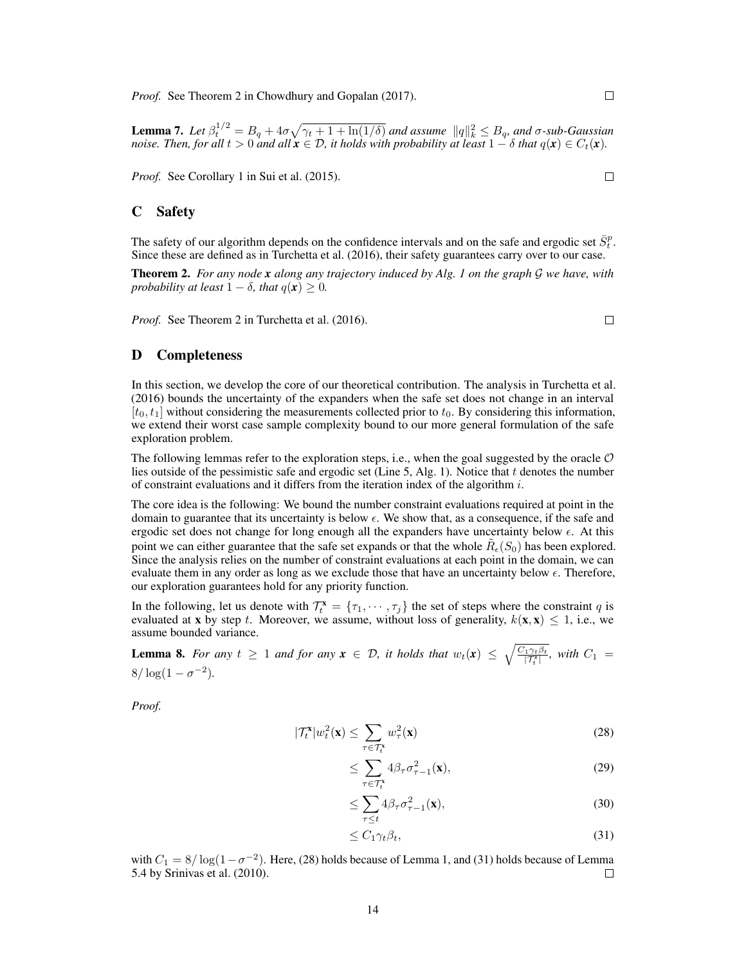*Proof.* See Theorem 2 in [Chowdhury and Gopalan](#page-9-13) [\(2017\)](#page-9-13).

 $\Box$ 

<span id="page-13-3"></span>**Lemma 7.** Let  $\beta_t^{1/2} = B_q + 4\sigma \sqrt{\gamma_t + 1 + \ln(1/\delta)}$  and assume  $||q||_k^2 \leq B_q$ , and  $\sigma$ -sub-Gaussian *noise. Then, for all*  $t > 0$  *and all*  $x \in \mathcal{D}$ *, it holds with probability at least*  $1 - \delta$  *that*  $q(x) \in C_t(x)$ *.* 

*Proof.* See Corollary 1 in [Sui et al.](#page-10-7) [\(2015\)](#page-10-7).

### C Safety

The safety of our algorithm depends on the confidence intervals and on the safe and ergodic set  $\bar{S}_t^p$ . Since these are defined as in [Turchetta et al.](#page-10-9) [\(2016\)](#page-10-9), their safety guarantees carry over to our case.

<span id="page-13-4"></span>Theorem 2. *For any node x along any trajectory induced by Alg. [1](#page-5-1) on the graph* G *we have, with probability at least*  $1 - \delta$ *, that*  $q(\mathbf{x}) \geq 0$ *.* 

*Proof.* See Theorem 2 in [Turchetta et al.](#page-10-9) [\(2016\)](#page-10-9).

## D Completeness

In this section, we develop the core of our theoretical contribution. The analysis in [Turchetta et al.](#page-10-9) [\(2016\)](#page-10-9) bounds the uncertainty of the expanders when the safe set does not change in an interval  $[t_0, t_1]$  without considering the measurements collected prior to  $t_0$ . By considering this information, we extend their worst case sample complexity bound to our more general formulation of the safe exploration problem.

The following lemmas refer to the exploration steps, i.e., when the goal suggested by the oracle  $O$ lies outside of the pessimistic safe and ergodic set (Line [5,](#page-5-7) Alg. [1\)](#page-5-1). Notice that  $t$  denotes the number of constraint evaluations and it differs from the iteration index of the algorithm  $i$ .

The core idea is the following: We bound the number constraint evaluations required at point in the domain to guarantee that its uncertainty is below  $\epsilon$ . We show that, as a consequence, if the safe and ergodic set does not change for long enough all the expanders have uncertainty below  $\epsilon$ . At this point we can either guarantee that the safe set expands or that the whole  $\tilde{R}_{\epsilon}(S_0)$  has been explored. Since the analysis relies on the number of constraint evaluations at each point in the domain, we can evaluate them in any order as long as we exclude those that have an uncertainty below  $\epsilon$ . Therefore, our exploration guarantees hold for any priority function.

In the following, let us denote with  $\mathcal{T}_{t}^{x} = \{\tau_{1}, \cdots, \tau_{j}\}\$  the set of steps where the constraint q is evaluated at **x** by step t. Moreover, we assume, without loss of generality,  $k(\mathbf{x}, \mathbf{x}) \leq 1$ , i.e., we assume bounded variance.

<span id="page-13-2"></span>**Lemma 8.** *For any*  $t \geq 1$  *and for any*  $\mathbf{x} \in \mathcal{D}$ , *it holds that*  $w_t(\mathbf{x}) \leq \sqrt{\frac{C_1 \gamma_t \beta_t}{|\mathcal{T}_t^*|}}$  $\frac{f_1 \gamma_t \beta_t}{|T_t^x|}$ , with  $C_1 =$  $8/\log(1-\sigma^{-2}).$ 

 $\overline{\phantom{a}}$ 

*Proof.*

$$
\mathcal{T}_t^{\mathbf{x}}|w_t^2(\mathbf{x}) \le \sum_{\tau \in \mathcal{T}_t^{\mathbf{x}}} w_\tau^2(\mathbf{x}) \tag{28}
$$

<span id="page-13-0"></span>
$$
\leq \sum_{\tau \in \mathcal{T}_t^*} 4\beta_\tau \sigma_{\tau-1}^2(\mathbf{x}),\tag{29}
$$

$$
\leq \sum_{\tau \leq t} 4\beta_\tau \sigma_{\tau-1}^2(\mathbf{x}),\tag{30}
$$

<span id="page-13-1"></span>
$$
\leq C_1 \gamma_t \beta_t,\tag{31}
$$

with  $C_1 = 8/\log(1 - \sigma^{-2})$ . Here, [\(28\)](#page-13-0) holds because of Lemma [1,](#page-12-0) and [\(31\)](#page-13-1) holds because of Lemma 5.4 by [Srinivas et al.](#page-10-2) [\(2010\)](#page-10-2). □

 $\Box$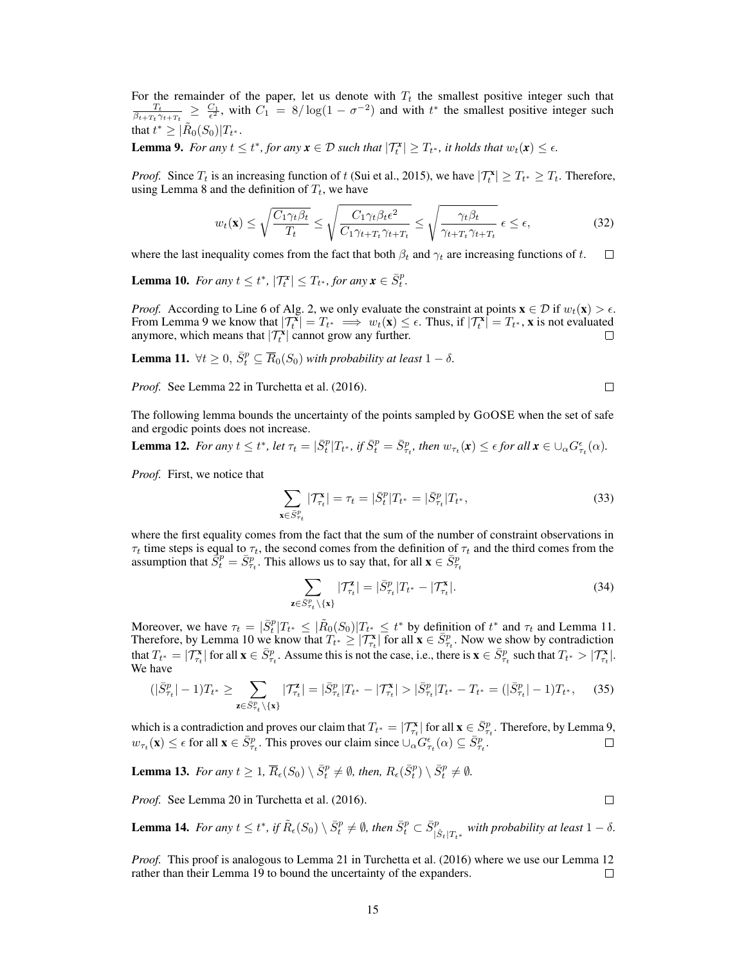For the remainder of the paper, let us denote with  $T_t$  the smallest positive integer such that  $\frac{T_t}{\beta t + T_t \gamma t + T_t} \ge \frac{C_1}{\epsilon^2}$ , with  $C_1 = 8/\log(1 - \sigma^{-2})$  and with  $t^*$  the smallest positive integer such that  $t^* \geq |\tilde{R}_0(S_0)|T_{t^*}.$ 

<span id="page-14-0"></span>**Lemma 9.** For any  $t \le t^*$ , for any  $x \in \mathcal{D}$  such that  $|\mathcal{T}_t^x| \ge T_{t^*}$ , it holds that  $w_t(x) \le \epsilon$ .

*Proof.* Since  $T_t$  is an increasing function of t [\(Sui et al., 2015\)](#page-10-7), we have  $|T_t^*| \geq T_{t^*} \geq T_t$ . Therefore, using Lemma [8](#page-13-2) and the definition of  $T_t$ , we have

$$
w_t(\mathbf{x}) \le \sqrt{\frac{C_1 \gamma_t \beta_t}{T_t}} \le \sqrt{\frac{C_1 \gamma_t \beta_t \epsilon^2}{C_1 \gamma_{t+T_t} \gamma_{t+T_t}}} \le \sqrt{\frac{\gamma_t \beta_t}{\gamma_{t+T_t} \gamma_{t+T_t}}} \epsilon \le \epsilon,
$$
\n(32)

where the last inequality comes from the fact that both  $\beta_t$  and  $\gamma_t$  are increasing functions of t.  $\Box$ 

<span id="page-14-2"></span>**Lemma 10.** For any  $t \leq t^*$ ,  $|\mathcal{T}_t^{\mathbf{x}}| \leq T_{t^*}$ , for any  $\mathbf{x} \in \overline{S}_t^p$ .

*Proof.* According to Line [6](#page-5-10) of Alg. [2,](#page-5-2) we only evaluate the constraint at points  $\mathbf{x} \in \mathcal{D}$  if  $w_t(\mathbf{x}) > \epsilon$ . From Lemma [9](#page-14-0) we know that  $|T_t^{\mathbf{x}}| = T_{t^*} \implies w_t(\mathbf{x}) \leq \epsilon$ . Thus, if  $|T_t^{\mathbf{x}}| = T_{t^*}$ , x is not evaluated anymore, which means that  $|\mathcal{T}_{t}^{x}|$  cannot grow any further.

<span id="page-14-1"></span>**Lemma 11.**  $\forall t \geq 0$ ,  $\overline{S}_t^p \subseteq \overline{R}_0(S_0)$  *with probability at least*  $1 - \delta$ .

*Proof.* See Lemma 22 in [Turchetta et al.](#page-10-9) [\(2016\)](#page-10-9).

 $\Box$ 

 $\Box$ 

The following lemma bounds the uncertainty of the points sampled by GOOSE when the set of safe and ergodic points does not increase.

<span id="page-14-3"></span>**Lemma 12.** For any  $t \le t^*$ , let  $\tau_t = |\bar{S}_t^p|T_{t^*}$ , if  $\bar{S}_t^p = \bar{S}_{\tau_t}^p$ , then  $w_{\tau_t}(\mathbf{x}) \le \epsilon$  for all  $\mathbf{x} \in \bigcup_{\alpha} G_{\tau_t}^{\epsilon}(\alpha)$ .

*Proof.* First, we notice that

$$
\sum_{\mathbf{x} \in \bar{S}_{\tau_t}^p} |\mathcal{T}_{\tau_t}^{\mathbf{x}}| = \tau_t = |\bar{S}_t^p| T_{t^*} = |\bar{S}_{\tau_t}^p| T_{t^*},
$$
\n(33)

where the first equality comes from the fact that the sum of the number of constraint observations in  $\tau_t$  time steps is equal to  $\tau_t$ , the second comes from the definition of  $\tau_t$  and the third comes from the assumption that  $\vec{S}_t^p = \vec{S}_{\tau_t}^p$ . This allows us to say that, for all  $\mathbf{x} \in \vec{S}_{\tau_t}^p$ 

$$
\sum_{\mathbf{z}\in\bar{S}_{\tau_t}^p\backslash\{\mathbf{x}\}}|\mathcal{T}_{\tau_t}^{\mathbf{z}}| = |\bar{S}_{\tau_t}^p|T_{t^*} - |\mathcal{T}_{\tau_t}^{\mathbf{x}}|.\tag{34}
$$

Moreover, we have  $\tau_t = |\bar{S}_t^p| T_{t^*} \leq |\tilde{R}_0(S_0)| T_{t^*} \leq t^*$  by definition of  $t^*$  and  $\tau_t$  and Lemma [11.](#page-14-1) Therefore, by Lemma [10](#page-14-2) we know that  $T_{t^*} \geq |T_{\tau_t}^{\mathbf{x}}|$  for all  $\mathbf{x} \in \bar{S}_{\tau_t}^p$ . Now we show by contradiction that  $T_{t^*} = |T_{\tau_t}^{\mathbf{x}}|$  for all  $\mathbf{x} \in \bar{S}_{\tau_t}^p$ . Assume this is not the case, i.e., there is  $\mathbf{x} \in \bar{S}_{\tau_t}^p$  such that  $T_{t^*} > |T_{\tau_t}^{\mathbf{x}}|$ . We have

$$
(|\bar{S}_{\tau_t}^p| - 1)T_{t^*} \ge \sum_{\mathbf{z} \in \bar{S}_{\tau_t}^p \setminus \{\mathbf{x}\}} |\mathcal{T}_{\tau_t}^{\mathbf{z}}| = |\bar{S}_{\tau_t}^p| |T_{t^*} - |\mathcal{T}_{\tau_t}^{\mathbf{x}}| > |\bar{S}_{\tau_t}^p| |T_{t^*} - T_{t^*} = (|\bar{S}_{\tau_t}^p| - 1)T_{t^*}, \tag{35}
$$

which is a contradiction and proves our claim that  $T_{t^*} = | \mathcal{T}_{\tau_t}^{\mathbf{x}} |$  for all  $\mathbf{x} \in \bar{S}_{\tau_t}^p$ . Therefore, by Lemma [9,](#page-14-0)  $w_{\tau_t}(\mathbf{x}) \leq \epsilon$  for all  $\mathbf{x} \in \bar{S}_{\tau_t}^p$ . This proves our claim since  $\cup_{\alpha} G_{\tau_t}^{\epsilon}(\alpha) \subseteq \bar{S}_{\tau_t}^p$ .  $\Box$ 

**Lemma 13.** For any  $t \geq 1$ ,  $\overline{R}_{\epsilon}(S_0) \setminus \overline{S}_t^p \neq \emptyset$ , then,  $R_{\epsilon}(\overline{S}_t^p) \setminus \overline{S}_t^p \neq \emptyset$ .

*Proof.* See Lemma 20 in [Turchetta et al.](#page-10-9) [\(2016\)](#page-10-9).

<span id="page-14-4"></span>**Lemma 14.** For any  $t \le t^*$ , if  $\tilde{R}_{\epsilon}(S_0) \setminus \bar{S}_t^p \neq \emptyset$ , then  $\bar{S}_t^p \subset \bar{S}_{|\hat{S}_t|T_{t^*}}^p$  with probability at least  $1 - \delta$ .

*Proof.* This proof is analogous to Lemma 21 in [Turchetta et al.](#page-10-9) [\(2016\)](#page-10-9) where we use our Lemma [12](#page-14-3) rather than their Lemma 19 to bound the uncertainty of the expanders.  $\Box$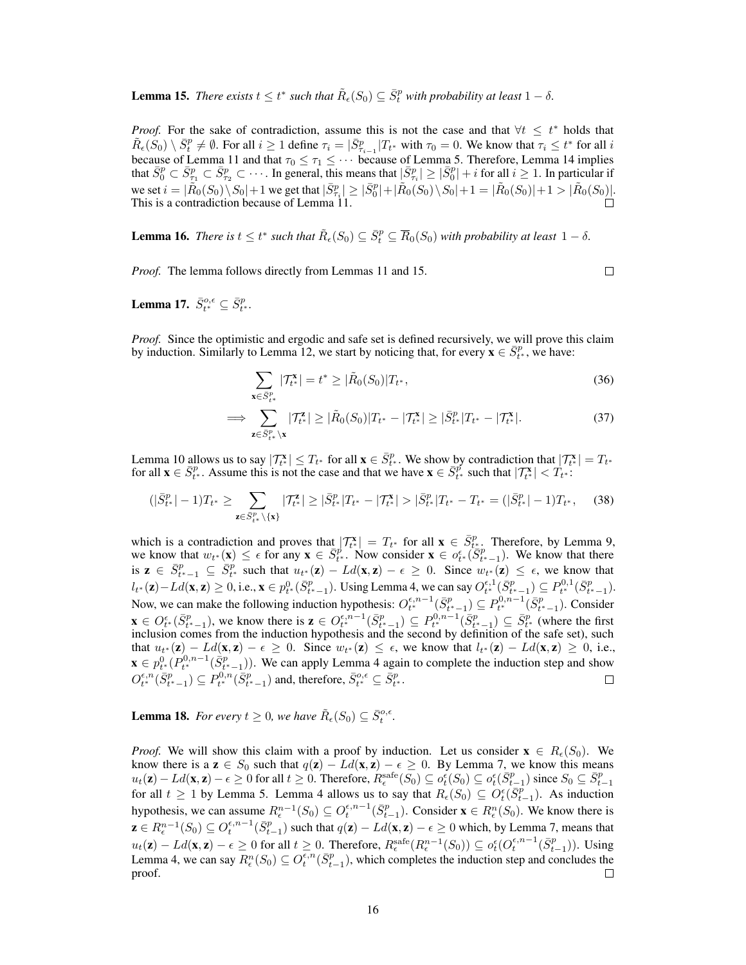<span id="page-15-0"></span>**Lemma 15.** *There exists*  $t \leq t^*$  *such that*  $\tilde{R}_{\epsilon}(S_0) \subseteq \bar{S}_t^p$  *with probability at least*  $1 - \delta$ *.* 

*Proof.* For the sake of contradiction, assume this is not the case and that  $\forall t \leq t^*$  holds that  $\tilde{R}_{\epsilon}(S_0) \setminus \bar{S}^p_t \neq \emptyset$ . For all  $i \geq 1$  define  $\tau_i = |\bar{S}^p_{\tau_{i-1}}|T_{t^*}$  with  $\tau_0 = 0$ . We know that  $\tau_i \leq t^*$  for all  $i$ because of Lemma [11](#page-14-1) and that  $\tau_0 \leq \tau_1 \leq \cdots$  because of Lemma [5.](#page-12-2) Therefore, Lemma [14](#page-14-4) implies that  $\overline{\tilde{S}_0^p} \subset \overline{\tilde{S}_2^p} \subset \overline{\tilde{S}_2^p} \subset \cdots$ . In general, this means that  $|\overline{\tilde{S}_7^p}| \geq |\overline{S}_0^p| + i$  for all we set  $i = |\tilde{R}_0(S_0) \setminus S_0| + 1$  we get that  $|\bar{S}_{\tau_i}^p| \geq |\bar{S}_0^p| + |\tilde{R}_0(S_0) \setminus S_0| + 1 = |\tilde{R}_0(S_0)| + 1 > |\tilde{R}_0(S_0)|$ . This is a contradiction because of Lemma [11.](#page-14-1)

<span id="page-15-1"></span>**Lemma 16.** *There is*  $t \le t^*$  *such that*  $\tilde{R}_{\epsilon}(S_0) \subseteq \overline{S}_t^p \subseteq \overline{R}_0(S_0)$  *with probability at least*  $1 - \delta$ *.* 

*Proof.* The lemma follows directly from Lemmas [11](#page-14-1) and [15.](#page-15-0)

 $\Box$ 

**Lemma 17.**  $\bar{S}_{t^*}^{o,\epsilon} \subseteq \bar{S}_{t^*}^p$ .

*Proof.* Since the optimistic and ergodic and safe set is defined recursively, we will prove this claim by induction. Similarly to Lemma [12,](#page-14-3) we start by noticing that, for every  $\mathbf{x} \in \overline{S}_{t^*}^p$ , we have:

$$
\sum_{\mathbf{x} \in \bar{S}_{t^*}^p} |\mathcal{T}_{t^*}^{\mathbf{x}}| = t^* \ge |\tilde{R}_0(S_0)| T_{t^*},
$$
\n(36)

$$
\implies \sum_{\mathbf{z}\in\bar{S}_{t^*}^p\setminus\mathbf{x}}|T_{t^*}^{\mathbf{z}}|\geq |\tilde{R}_0(S_0)|T_{t^*}-|T_{t^*}^{\mathbf{x}}|\geq |\bar{S}_{t^*}^p|T_{t^*}-|T_{t^*}^{\mathbf{x}}|.\tag{37}
$$

Lemma [10](#page-14-2) allows us to say  $|T_{t^*}^{\mathbf{x}}| \leq T_{t^*}$  for all  $\mathbf{x} \in \overline{S}_{t^*}^p$ . We show by contradiction that  $|T_{t^*}^{\mathbf{x}}| = T_{t^*}$ for all  $\mathbf{x} \in \overline{S}_{t^*}^p$ . Assume this is not the case and that we have  $\mathbf{x} \in \overline{S}_{t^*}^p$  such that  $|\mathcal{T}_{t^*}^{\mathbf{x}}| < \overline{T}_{t^*}$ .

$$
(|\bar{S}_{t^*}^p| - 1)T_{t^*} \ge \sum_{\mathbf{z} \in \bar{S}_{t^*}^p \setminus \{\mathbf{x}\}} |\mathcal{T}_{t^*}^{\mathbf{z}}| \ge |\bar{S}_{t^*}^p| |T_{t^*} - |\mathcal{T}_{t^*}^{\mathbf{x}}| > |\bar{S}_{t^*}^p| |T_{t^*} - T_{t^*} = (|\bar{S}_{t^*}^p| - 1)T_{t^*}, \tag{38}
$$

which is a contradiction and proves that  $|T_{t*}^{\mathbf{x}}| = T_{t*}$  for all  $\mathbf{x} \in \overline{S}_{t}^p$ . Therefore, by Lemma [9,](#page-14-0) we know that  $w_{t*}(\mathbf{x}) \leq \epsilon$  for any  $\mathbf{x} \in \overline{S}_{t^*}^p$ . Now consider  $\mathbf{x} \in \sigma_t^{\epsilon}(\overline{S}_{t^*-1}^p)$ . We know that there is  $\mathbf{z} \in \overline{S}_{t^*-1}^p \subseteq \overline{S}_{t^*}^p$  such that  $u_{t^*}(z) - Ld(\mathbf{x}, z) - \epsilon \geq 0$ . Since  $w_{t^*}(z) \leq \epsilon$ , we know that  $l_{t^*}(\mathbf{z}) - L d(\mathbf{x}, \mathbf{z}) \ge 0$ , i.e.,  $\mathbf{x} \in p_{t^*}^0(\bar{S}_{t^*-1}^p)$ . Using Lemma [4,](#page-12-1) we can say  $O_{t^*}^{\epsilon,1}(\bar{S}_{t^*-1}^p) \subseteq P_{t^*}^{0,1}(\bar{S}_{t^*-1}^p)$ . Now, we can make the following induction hypothesis:  $O_{t^*}^{\epsilon,n-1}(\bar{S}_{t^*-1}^p) \subseteq P_{t^*}^{0,n-1}(\bar{S}_{t^*-1}^p)$ . Consider  $\mathbf{x} \in O_{t^*}^{\epsilon}(\bar{S}_{t^*-1}^p)$ , we know there is  $\mathbf{z} \in O_{t^*}^{\epsilon,n-1}(\bar{S}_{t^*-1}^p) \subseteq P_{t^*}^{0,n-1}(\bar{S}_{t^*-1}^p) \subseteq \bar{S}_{t^*}^p$  (where the first inclusion comes from the induction hypothesis and the second by definition of the safe set), such that  $u_{t^*}(\mathbf{z}) - Ld(\mathbf{x}, \mathbf{z}) - \epsilon \geq 0$ . Since  $w_{t^*}(\mathbf{z}) \leq \epsilon$ , we know that  $l_{t^*}(\mathbf{z}) - Ld(\mathbf{x}, \mathbf{z}) \geq 0$ , i.e.,  $\mathbf{x} \in p_{t^*}^0(P_{t^*}^{0,n-1}(\bar{S}_{t^*-1}^p))$ . We can apply Lemma [4](#page-12-1) again to complete the induction step and show  $O_{t^*}^{\epsilon,n}(\bar{S}_{t^*-1}^p) \subseteq P_{t^*}^{0,n}(\bar{S}_{t^*-1}^p)$  and, therefore,  $\bar{S}_{t^*}^{o,\epsilon} \subseteq \bar{S}_{t^*}^p$ .

<span id="page-15-2"></span>**Lemma 18.** *For every*  $t \geq 0$ *, we have*  $\tilde{R}_{\epsilon}(S_0) \subseteq \bar{S}_t^{o,\epsilon}$ *.* 

*Proof.* We will show this claim with a proof by induction. Let us consider  $\mathbf{x} \in R_{\epsilon}(S_0)$ . We know there is a  $z \in S_0$  such that  $q(z) - Ld(x, z) - \epsilon \ge 0$ . By Lemma [7,](#page-13-3) we know this means  $u_t(\mathbf{z}) - Ld(\mathbf{x}, \mathbf{z}) - \epsilon \geq 0$  for all  $t \geq 0$ . Therefore,  $R_{\epsilon}^{\text{safe}}(S_0) \subseteq o_t^{\epsilon}(S_0) \subseteq o_t^{\epsilon}(\bar{S}_{t-1}^p)$  since  $S_0 \subseteq \bar{S}_{t-1}^p$ for all  $t \ge 1$  by Lemma [5.](#page-12-2) Lemma [4](#page-12-1) allows us to say that  $R_{\epsilon}(S_0) \subseteq O_t^{\epsilon}(\overline{S}_{t-1}^p)$ . As induction hypothesis, we can assume  $R_{\epsilon}^{n-1}(S_0) \subseteq O_{t}^{\epsilon,n-1}(\bar{S}_{t-1}^p)$ . Consider  $\mathbf{x} \in R_{\epsilon}^n(S_0)$ . We know there is  $\mathbf{z} \in R_{\epsilon}^{n-1}(S_0) \subseteq O_{t}^{\epsilon, n-1}(\bar{S}_{t-1}^p)$  such that  $q(\mathbf{z}) - L d(\mathbf{x}, \mathbf{z}) - \epsilon \geq 0$  which, by Lemma [7,](#page-13-3) means that  $u_t(\mathbf{z}) - Ld(\mathbf{x}, \mathbf{z}) - \epsilon \geq 0$  for all  $t \geq 0$ . Therefore,  $R_{\epsilon}^{\text{safe}}(R_{\epsilon}^{n-1}(S_0)) \subseteq o_t^{\epsilon}(O_t^{\epsilon, n-1}(\bar{S}_{t-1}^p))$ . Using Lemma [4,](#page-12-1) we can say  $R_{\epsilon}^n(S_0) \subseteq O_{t}^{\epsilon,n}(\bar{S}_{t-1}^p)$ , which completes the induction step and concludes the proof.  $\Box$